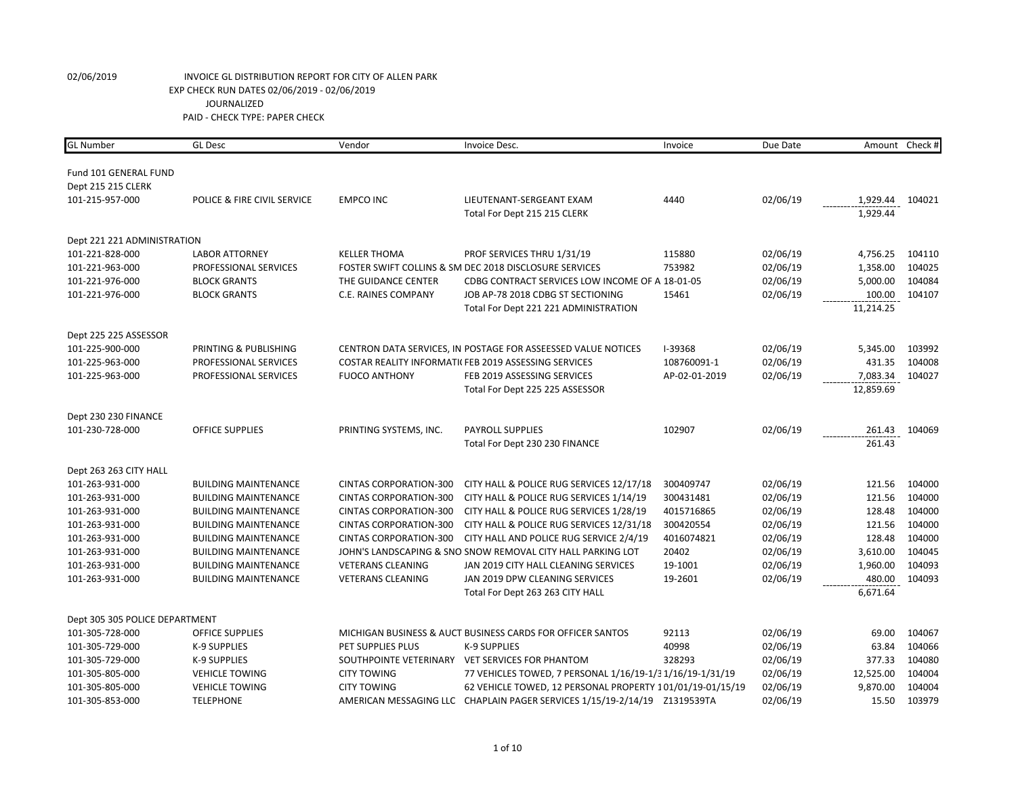| <b>GL Number</b>               | <b>GL Desc</b>              | Vendor                        | Invoice Desc.                                                      | Invoice        | Due Date |                    | Amount Check #   |
|--------------------------------|-----------------------------|-------------------------------|--------------------------------------------------------------------|----------------|----------|--------------------|------------------|
|                                |                             |                               |                                                                    |                |          |                    |                  |
| Fund 101 GENERAL FUND          |                             |                               |                                                                    |                |          |                    |                  |
| Dept 215 215 CLERK             |                             |                               |                                                                    |                |          |                    |                  |
| 101-215-957-000                | POLICE & FIRE CIVIL SERVICE | <b>EMPCO INC</b>              | LIEUTENANT-SERGEANT EXAM                                           | 4440           | 02/06/19 | 1,929.44           | 104021           |
|                                |                             |                               | Total For Dept 215 215 CLERK                                       |                |          | 1,929.44           |                  |
| Dept 221 221 ADMINISTRATION    |                             |                               |                                                                    |                |          |                    |                  |
| 101-221-828-000                | <b>LABOR ATTORNEY</b>       | <b>KELLER THOMA</b>           | PROF SERVICES THRU 1/31/19                                         | 115880         | 02/06/19 | 4,756.25           | 104110           |
| 101-221-963-000                | PROFESSIONAL SERVICES       |                               | FOSTER SWIFT COLLINS & SM DEC 2018 DISCLOSURE SERVICES             | 753982         | 02/06/19 | 1,358.00           | 104025           |
| 101-221-976-000                | <b>BLOCK GRANTS</b>         | THE GUIDANCE CENTER           | CDBG CONTRACT SERVICES LOW INCOME OF A 18-01-05                    |                | 02/06/19 | 5,000.00           | 104084           |
| 101-221-976-000                | <b>BLOCK GRANTS</b>         | C.E. RAINES COMPANY           | JOB AP-78 2018 CDBG ST SECTIONING                                  | 15461          | 02/06/19 | 100.00             | 104107           |
|                                |                             |                               | Total For Dept 221 221 ADMINISTRATION                              |                |          | 11,214.25          |                  |
|                                |                             |                               |                                                                    |                |          |                    |                  |
| Dept 225 225 ASSESSOR          |                             |                               |                                                                    |                |          |                    |                  |
| 101-225-900-000                | PRINTING & PUBLISHING       |                               | CENTRON DATA SERVICES, IN POSTAGE FOR ASSEESSED VALUE NOTICES      | <b>I-39368</b> | 02/06/19 | 5,345.00           | 103992           |
| 101-225-963-000                | PROFESSIONAL SERVICES       |                               | COSTAR REALITY INFORMATIC FEB 2019 ASSESSING SERVICES              | 108760091-1    | 02/06/19 | 431.35             | 104008           |
| 101-225-963-000                | PROFESSIONAL SERVICES       | <b>FUOCO ANTHONY</b>          | FEB 2019 ASSESSING SERVICES                                        | AP-02-01-2019  | 02/06/19 | 7,083.34           | 104027           |
|                                |                             |                               | Total For Dept 225 225 ASSESSOR                                    |                |          | 12,859.69          |                  |
| Dept 230 230 FINANCE           |                             |                               |                                                                    |                |          |                    |                  |
| 101-230-728-000                | <b>OFFICE SUPPLIES</b>      | PRINTING SYSTEMS, INC.        | <b>PAYROLL SUPPLIES</b>                                            | 102907         | 02/06/19 | 261.43             | 104069           |
|                                |                             |                               | Total For Dept 230 230 FINANCE                                     |                |          | 261.43             |                  |
|                                |                             |                               |                                                                    |                |          |                    |                  |
| Dept 263 263 CITY HALL         |                             |                               |                                                                    |                |          |                    |                  |
| 101-263-931-000                | <b>BUILDING MAINTENANCE</b> | <b>CINTAS CORPORATION-300</b> | CITY HALL & POLICE RUG SERVICES 12/17/18                           | 300409747      | 02/06/19 | 121.56             | 104000           |
| 101-263-931-000                | <b>BUILDING MAINTENANCE</b> | <b>CINTAS CORPORATION-300</b> | CITY HALL & POLICE RUG SERVICES 1/14/19                            | 300431481      | 02/06/19 | 121.56             | 104000           |
| 101-263-931-000                | <b>BUILDING MAINTENANCE</b> | <b>CINTAS CORPORATION-300</b> | CITY HALL & POLICE RUG SERVICES 1/28/19                            | 4015716865     | 02/06/19 | 128.48             | 104000           |
| 101-263-931-000                | <b>BUILDING MAINTENANCE</b> | <b>CINTAS CORPORATION-300</b> | CITY HALL & POLICE RUG SERVICES 12/31/18                           | 300420554      | 02/06/19 | 121.56             | 104000           |
| 101-263-931-000                | <b>BUILDING MAINTENANCE</b> | <b>CINTAS CORPORATION-300</b> | CITY HALL AND POLICE RUG SERVICE 2/4/19                            | 4016074821     | 02/06/19 | 128.48             | 104000<br>104045 |
| 101-263-931-000                | <b>BUILDING MAINTENANCE</b> |                               | JOHN'S LANDSCAPING & SNO SNOW REMOVAL CITY HALL PARKING LOT        | 20402          | 02/06/19 | 3,610.00           |                  |
| 101-263-931-000                | <b>BUILDING MAINTENANCE</b> | <b>VETERANS CLEANING</b>      | JAN 2019 CITY HALL CLEANING SERVICES                               | 19-1001        | 02/06/19 | 1,960.00           | 104093           |
| 101-263-931-000                | <b>BUILDING MAINTENANCE</b> | <b>VETERANS CLEANING</b>      | JAN 2019 DPW CLEANING SERVICES<br>Total For Dept 263 263 CITY HALL | 19-2601        | 02/06/19 | 480.00<br>6,671.64 | 104093           |
|                                |                             |                               |                                                                    |                |          |                    |                  |
| Dept 305 305 POLICE DEPARTMENT |                             |                               |                                                                    |                |          |                    |                  |
| 101-305-728-000                | <b>OFFICE SUPPLIES</b>      |                               | MICHIGAN BUSINESS & AUCT BUSINESS CARDS FOR OFFICER SANTOS         | 92113          | 02/06/19 | 69.00              | 104067           |
| 101-305-729-000                | <b>K-9 SUPPLIES</b>         | PET SUPPLIES PLUS             | <b>K-9 SUPPLIES</b>                                                | 40998          | 02/06/19 | 63.84              | 104066           |
| 101-305-729-000                | K-9 SUPPLIES                |                               | SOUTHPOINTE VETERINARY VET SERVICES FOR PHANTOM                    | 328293         | 02/06/19 | 377.33             | 104080           |
| 101-305-805-000                | <b>VEHICLE TOWING</b>       | <b>CITY TOWING</b>            | 77 VEHICLES TOWED, 7 PERSONAL 1/16/19-1/3 1/16/19-1/31/19          |                | 02/06/19 | 12,525.00          | 104004           |
| 101-305-805-000                | <b>VEHICLE TOWING</b>       | <b>CITY TOWING</b>            | 62 VEHICLE TOWED, 12 PERSONAL PROPERTY 101/01/19-01/15/19          |                | 02/06/19 | 9,870.00           | 104004           |
| 101-305-853-000                | <b>TELEPHONE</b>            |                               |                                                                    |                | 02/06/19 | 15.50              | 103979           |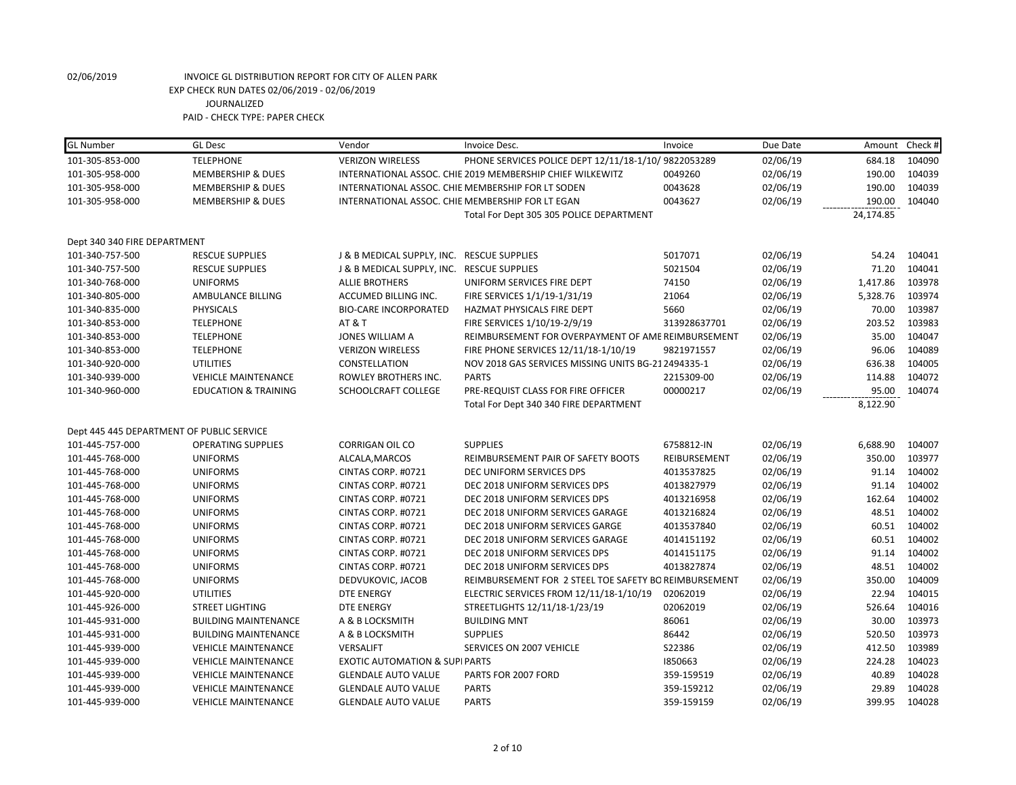| <b>GL</b> Number             | <b>GL Desc</b>                            | Vendor                                     | Invoice Desc.                                             | Invoice      | Due Date | Amount    | Check # |
|------------------------------|-------------------------------------------|--------------------------------------------|-----------------------------------------------------------|--------------|----------|-----------|---------|
| 101-305-853-000              | <b>TELEPHONE</b>                          | <b>VERIZON WIRELESS</b>                    | PHONE SERVICES POLICE DEPT 12/11/18-1/10/ 9822053289      |              | 02/06/19 | 684.18    | 104090  |
| 101-305-958-000              | <b>MEMBERSHIP &amp; DUES</b>              |                                            | INTERNATIONAL ASSOC. CHIE 2019 MEMBERSHIP CHIEF WILKEWITZ | 0049260      | 02/06/19 | 190.00    | 104039  |
| 101-305-958-000              | <b>MEMBERSHIP &amp; DUES</b>              |                                            | INTERNATIONAL ASSOC. CHIE MEMBERSHIP FOR LT SODEN         | 0043628      | 02/06/19 | 190.00    | 104039  |
| 101-305-958-000              | <b>MEMBERSHIP &amp; DUES</b>              |                                            | INTERNATIONAL ASSOC. CHIE MEMBERSHIP FOR LT EGAN          | 0043627      | 02/06/19 | 190.00    | 104040  |
|                              |                                           |                                            | Total For Dept 305 305 POLICE DEPARTMENT                  |              |          | 24,174.85 |         |
| Dept 340 340 FIRE DEPARTMENT |                                           |                                            |                                                           |              |          |           |         |
| 101-340-757-500              | <b>RESCUE SUPPLIES</b>                    | J & B MEDICAL SUPPLY, INC. RESCUE SUPPLIES |                                                           | 5017071      | 02/06/19 | 54.24     | 104041  |
| 101-340-757-500              | <b>RESCUE SUPPLIES</b>                    | J & B MEDICAL SUPPLY, INC. RESCUE SUPPLIES |                                                           | 5021504      | 02/06/19 | 71.20     | 104041  |
| 101-340-768-000              | <b>UNIFORMS</b>                           | <b>ALLIE BROTHERS</b>                      | UNIFORM SERVICES FIRE DEPT                                | 74150        | 02/06/19 | 1,417.86  | 103978  |
| 101-340-805-000              | AMBULANCE BILLING                         | ACCUMED BILLING INC.                       | FIRE SERVICES 1/1/19-1/31/19                              | 21064        | 02/06/19 | 5,328.76  | 103974  |
| 101-340-835-000              | <b>PHYSICALS</b>                          | <b>BIO-CARE INCORPORATED</b>               | HAZMAT PHYSICALS FIRE DEPT                                | 5660         | 02/06/19 | 70.00     | 103987  |
| 101-340-853-000              | <b>TELEPHONE</b>                          | <b>AT &amp; T</b>                          | FIRE SERVICES 1/10/19-2/9/19                              | 313928637701 | 02/06/19 | 203.52    | 103983  |
| 101-340-853-000              | <b>TELEPHONE</b>                          | <b>JONES WILLIAM A</b>                     | REIMBURSEMENT FOR OVERPAYMENT OF AME REIMBURSEMENT        |              | 02/06/19 | 35.00     | 104047  |
| 101-340-853-000              | <b>TELEPHONE</b>                          | <b>VERIZON WIRELESS</b>                    | FIRE PHONE SERVICES 12/11/18-1/10/19                      | 9821971557   | 02/06/19 | 96.06     | 104089  |
| 101-340-920-000              | <b>UTILITIES</b>                          | <b>CONSTELLATION</b>                       | NOV 2018 GAS SERVICES MISSING UNITS BG-212494335-1        |              | 02/06/19 | 636.38    | 104005  |
| 101-340-939-000              | <b>VEHICLE MAINTENANCE</b>                | ROWLEY BROTHERS INC.                       | <b>PARTS</b>                                              | 2215309-00   | 02/06/19 | 114.88    | 104072  |
| 101-340-960-000              | <b>EDUCATION &amp; TRAINING</b>           | SCHOOLCRAFT COLLEGE                        | PRE-REQUIST CLASS FOR FIRE OFFICER                        | 00000217     | 02/06/19 | 95.00     | 104074  |
|                              |                                           |                                            | Total For Dept 340 340 FIRE DEPARTMENT                    |              |          | 8,122.90  |         |
|                              |                                           |                                            |                                                           |              |          |           |         |
|                              | Dept 445 445 DEPARTMENT OF PUBLIC SERVICE |                                            |                                                           |              |          |           |         |
| 101-445-757-000              | <b>OPERATING SUPPLIES</b>                 | <b>CORRIGAN OIL CO</b>                     | <b>SUPPLIES</b>                                           | 6758812-IN   | 02/06/19 | 6,688.90  | 104007  |
| 101-445-768-000              | <b>UNIFORMS</b>                           | ALCALA, MARCOS                             | REIMBURSEMENT PAIR OF SAFETY BOOTS                        | REIBURSEMENT | 02/06/19 | 350.00    | 103977  |
| 101-445-768-000              | <b>UNIFORMS</b>                           | CINTAS CORP. #0721                         | DEC UNIFORM SERVICES DPS                                  | 4013537825   | 02/06/19 | 91.14     | 104002  |
| 101-445-768-000              | <b>UNIFORMS</b>                           | CINTAS CORP. #0721                         | DEC 2018 UNIFORM SERVICES DPS                             | 4013827979   | 02/06/19 | 91.14     | 104002  |
| 101-445-768-000              | <b>UNIFORMS</b>                           | CINTAS CORP. #0721                         | DEC 2018 UNIFORM SERVICES DPS                             | 4013216958   | 02/06/19 | 162.64    | 104002  |
| 101-445-768-000              | <b>UNIFORMS</b>                           | CINTAS CORP. #0721                         | DEC 2018 UNIFORM SERVICES GARAGE                          | 4013216824   | 02/06/19 | 48.51     | 104002  |
| 101-445-768-000              | <b>UNIFORMS</b>                           | CINTAS CORP. #0721                         | DEC 2018 UNIFORM SERVICES GARGE                           | 4013537840   | 02/06/19 | 60.51     | 104002  |
| 101-445-768-000              | <b>UNIFORMS</b>                           | CINTAS CORP. #0721                         | DEC 2018 UNIFORM SERVICES GARAGE                          | 4014151192   | 02/06/19 | 60.51     | 104002  |
| 101-445-768-000              | <b>UNIFORMS</b>                           | CINTAS CORP. #0721                         | DEC 2018 UNIFORM SERVICES DPS                             | 4014151175   | 02/06/19 | 91.14     | 104002  |
| 101-445-768-000              | <b>UNIFORMS</b>                           | CINTAS CORP. #0721                         | DEC 2018 UNIFORM SERVICES DPS                             | 4013827874   | 02/06/19 | 48.51     | 104002  |
| 101-445-768-000              | <b>UNIFORMS</b>                           | DEDVUKOVIC, JACOB                          | REIMBURSEMENT FOR 2 STEEL TOE SAFETY BO REIMBURSEMENT     |              | 02/06/19 | 350.00    | 104009  |
| 101-445-920-000              | <b>UTILITIES</b>                          | <b>DTE ENERGY</b>                          | ELECTRIC SERVICES FROM 12/11/18-1/10/19                   | 02062019     | 02/06/19 | 22.94     | 104015  |
| 101-445-926-000              | <b>STREET LIGHTING</b>                    | <b>DTE ENERGY</b>                          | STREETLIGHTS 12/11/18-1/23/19                             | 02062019     | 02/06/19 | 526.64    | 104016  |
| 101-445-931-000              | <b>BUILDING MAINTENANCE</b>               | A & B LOCKSMITH                            | <b>BUILDING MNT</b>                                       | 86061        | 02/06/19 | 30.00     | 103973  |
| 101-445-931-000              | <b>BUILDING MAINTENANCE</b>               | A & B LOCKSMITH                            | <b>SUPPLIES</b>                                           | 86442        | 02/06/19 | 520.50    | 103973  |
| 101-445-939-000              | <b>VEHICLE MAINTENANCE</b>                | <b>VERSALIFT</b>                           | SERVICES ON 2007 VEHICLE                                  | S22386       | 02/06/19 | 412.50    | 103989  |
| 101-445-939-000              | <b>VEHICLE MAINTENANCE</b>                | <b>EXOTIC AUTOMATION &amp; SUPIPARTS</b>   |                                                           | 1850663      | 02/06/19 | 224.28    | 104023  |
| 101-445-939-000              | <b>VEHICLE MAINTENANCE</b>                | <b>GLENDALE AUTO VALUE</b>                 | PARTS FOR 2007 FORD                                       | 359-159519   | 02/06/19 | 40.89     | 104028  |
| 101-445-939-000              | <b>VEHICLE MAINTENANCE</b>                | <b>GLENDALE AUTO VALUE</b>                 | <b>PARTS</b>                                              | 359-159212   | 02/06/19 | 29.89     | 104028  |
| 101-445-939-000              | <b>VEHICLE MAINTENANCE</b>                | <b>GLENDALE AUTO VALUE</b>                 | <b>PARTS</b>                                              | 359-159159   | 02/06/19 | 399.95    | 104028  |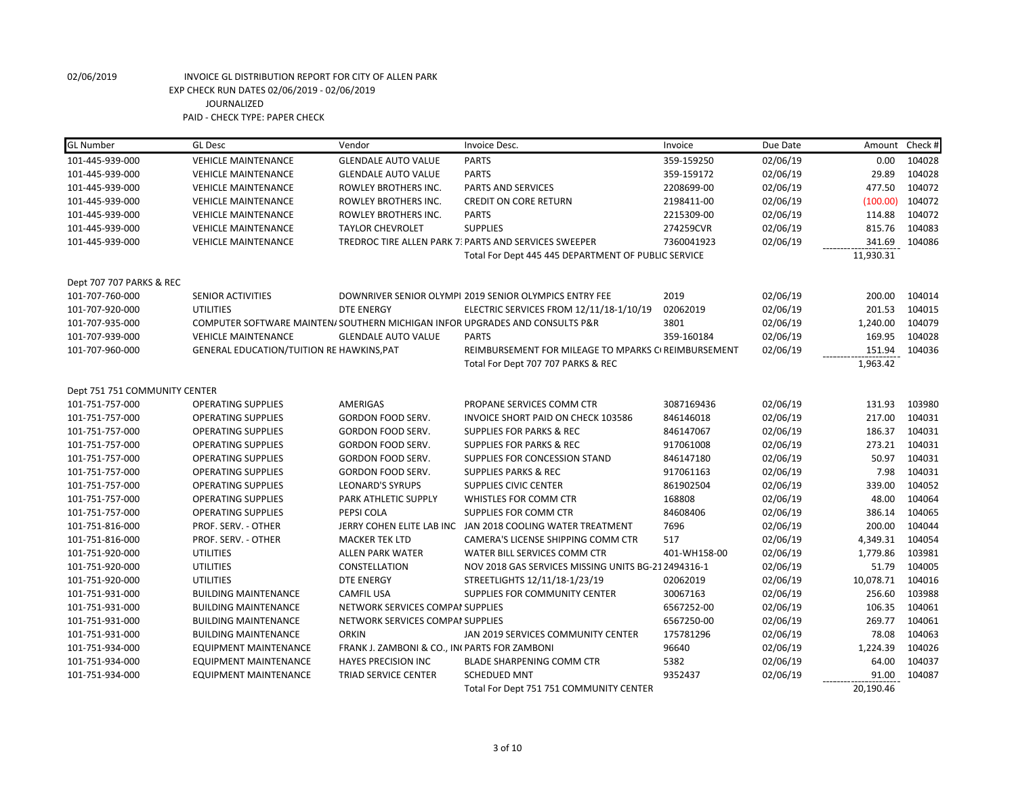| <b>GL Number</b>              | <b>GL Desc</b>                            | Vendor                                        | Invoice Desc.                                                                | Invoice      | Due Date | Amount    | Check # |
|-------------------------------|-------------------------------------------|-----------------------------------------------|------------------------------------------------------------------------------|--------------|----------|-----------|---------|
| 101-445-939-000               | <b>VEHICLE MAINTENANCE</b>                | <b>GLENDALE AUTO VALUE</b>                    | <b>PARTS</b>                                                                 | 359-159250   | 02/06/19 | 0.00      | 104028  |
| 101-445-939-000               | <b>VEHICLE MAINTENANCE</b>                | <b>GLENDALE AUTO VALUE</b>                    | <b>PARTS</b>                                                                 | 359-159172   | 02/06/19 | 29.89     | 104028  |
| 101-445-939-000               | <b>VEHICLE MAINTENANCE</b>                | ROWLEY BROTHERS INC.                          | PARTS AND SERVICES                                                           | 2208699-00   | 02/06/19 | 477.50    | 104072  |
| 101-445-939-000               | <b>VEHICLE MAINTENANCE</b>                | ROWLEY BROTHERS INC.                          | <b>CREDIT ON CORE RETURN</b>                                                 | 2198411-00   | 02/06/19 | (100.00)  | 104072  |
| 101-445-939-000               | <b>VEHICLE MAINTENANCE</b>                | ROWLEY BROTHERS INC.                          | <b>PARTS</b>                                                                 | 2215309-00   | 02/06/19 | 114.88    | 104072  |
| 101-445-939-000               | <b>VEHICLE MAINTENANCE</b>                | <b>TAYLOR CHEVROLET</b>                       | <b>SUPPLIES</b>                                                              | 274259CVR    | 02/06/19 | 815.76    | 104083  |
| 101-445-939-000               | <b>VEHICLE MAINTENANCE</b>                |                                               | TREDROC TIRE ALLEN PARK 7: PARTS AND SERVICES SWEEPER                        | 7360041923   | 02/06/19 | 341.69    | 104086  |
|                               |                                           |                                               | Total For Dept 445 445 DEPARTMENT OF PUBLIC SERVICE                          |              |          | 11,930.31 |         |
| Dept 707 707 PARKS & REC      |                                           |                                               |                                                                              |              |          |           |         |
| 101-707-760-000               | <b>SENIOR ACTIVITIES</b>                  |                                               | DOWNRIVER SENIOR OLYMPI 2019 SENIOR OLYMPICS ENTRY FEE                       | 2019         | 02/06/19 | 200.00    | 104014  |
| 101-707-920-000               | <b>UTILITIES</b>                          | <b>DTE ENERGY</b>                             | ELECTRIC SERVICES FROM 12/11/18-1/10/19                                      | 02062019     | 02/06/19 | 201.53    | 104015  |
| 101-707-935-000               |                                           |                                               | COMPUTER SOFTWARE MAINTEN/ SOUTHERN MICHIGAN INFOR UPGRADES AND CONSULTS P&R | 3801         | 02/06/19 | 1,240.00  | 104079  |
| 101-707-939-000               | <b>VEHICLE MAINTENANCE</b>                | <b>GLENDALE AUTO VALUE</b>                    | <b>PARTS</b>                                                                 | 359-160184   | 02/06/19 | 169.95    | 104028  |
| 101-707-960-000               | GENERAL EDUCATION/TUITION RE HAWKINS, PAT |                                               | REIMBURSEMENT FOR MILEAGE TO MPARKS CI REIMBURSEMENT                         |              | 02/06/19 | 151.94    | 104036  |
|                               |                                           |                                               | Total For Dept 707 707 PARKS & REC                                           |              |          | 1,963.42  |         |
| Dept 751 751 COMMUNITY CENTER |                                           |                                               |                                                                              |              |          |           |         |
| 101-751-757-000               | <b>OPERATING SUPPLIES</b>                 | <b>AMERIGAS</b>                               | PROPANE SERVICES COMM CTR                                                    | 3087169436   | 02/06/19 | 131.93    | 103980  |
| 101-751-757-000               | <b>OPERATING SUPPLIES</b>                 | GORDON FOOD SERV.                             | INVOICE SHORT PAID ON CHECK 103586                                           | 846146018    | 02/06/19 | 217.00    | 104031  |
| 101-751-757-000               | <b>OPERATING SUPPLIES</b>                 | GORDON FOOD SERV.                             | <b>SUPPLIES FOR PARKS &amp; REC</b>                                          | 846147067    | 02/06/19 | 186.37    | 104031  |
| 101-751-757-000               | <b>OPERATING SUPPLIES</b>                 | GORDON FOOD SERV.                             | <b>SUPPLIES FOR PARKS &amp; REC</b>                                          | 917061008    | 02/06/19 | 273.21    | 104031  |
| 101-751-757-000               | <b>OPERATING SUPPLIES</b>                 | GORDON FOOD SERV.                             | SUPPLIES FOR CONCESSION STAND                                                | 846147180    | 02/06/19 | 50.97     | 104031  |
| 101-751-757-000               | <b>OPERATING SUPPLIES</b>                 | GORDON FOOD SERV.                             | <b>SUPPLIES PARKS &amp; REC</b>                                              | 917061163    | 02/06/19 | 7.98      | 104031  |
| 101-751-757-000               | <b>OPERATING SUPPLIES</b>                 | <b>LEONARD'S SYRUPS</b>                       | <b>SUPPLIES CIVIC CENTER</b>                                                 | 861902504    | 02/06/19 | 339.00    | 104052  |
| 101-751-757-000               | <b>OPERATING SUPPLIES</b>                 | <b>PARK ATHLETIC SUPPLY</b>                   | WHISTLES FOR COMM CTR                                                        | 168808       | 02/06/19 | 48.00     | 104064  |
| 101-751-757-000               | <b>OPERATING SUPPLIES</b>                 | PEPSI COLA                                    | SUPPLIES FOR COMM CTR                                                        | 84608406     | 02/06/19 | 386.14    | 104065  |
| 101-751-816-000               | PROF. SERV. - OTHER                       | JERRY COHEN ELITE LAB INC                     | JAN 2018 COOLING WATER TREATMENT                                             | 7696         | 02/06/19 | 200.00    | 104044  |
| 101-751-816-000               | PROF. SERV. - OTHER                       | <b>MACKER TEK LTD</b>                         | CAMERA'S LICENSE SHIPPING COMM CTR                                           | 517          | 02/06/19 | 4,349.31  | 104054  |
| 101-751-920-000               | UTILITIES                                 | ALLEN PARK WATER                              | WATER BILL SERVICES COMM CTR                                                 | 401-WH158-00 | 02/06/19 | 1,779.86  | 103981  |
| 101-751-920-000               | <b>UTILITIES</b>                          | <b>CONSTELLATION</b>                          | NOV 2018 GAS SERVICES MISSING UNITS BG-21 2494316-1                          |              | 02/06/19 | 51.79     | 104005  |
| 101-751-920-000               | <b>UTILITIES</b>                          | <b>DTE ENERGY</b>                             | STREETLIGHTS 12/11/18-1/23/19                                                | 02062019     | 02/06/19 | 10,078.71 | 104016  |
| 101-751-931-000               | <b>BUILDING MAINTENANCE</b>               | <b>CAMFIL USA</b>                             | SUPPLIES FOR COMMUNITY CENTER                                                | 30067163     | 02/06/19 | 256.60    | 103988  |
| 101-751-931-000               | <b>BUILDING MAINTENANCE</b>               | NETWORK SERVICES COMPAI SUPPLIES              |                                                                              | 6567252-00   | 02/06/19 | 106.35    | 104061  |
| 101-751-931-000               | <b>BUILDING MAINTENANCE</b>               | NETWORK SERVICES COMPAI SUPPLIES              |                                                                              | 6567250-00   | 02/06/19 | 269.77    | 104061  |
| 101-751-931-000               | <b>BUILDING MAINTENANCE</b>               | <b>ORKIN</b>                                  | JAN 2019 SERVICES COMMUNITY CENTER                                           | 175781296    | 02/06/19 | 78.08     | 104063  |
| 101-751-934-000               | EQUIPMENT MAINTENANCE                     | FRANK J. ZAMBONI & CO., INI PARTS FOR ZAMBONI |                                                                              | 96640        | 02/06/19 | 1,224.39  | 104026  |
| 101-751-934-000               | <b>EQUIPMENT MAINTENANCE</b>              | <b>HAYES PRECISION INC</b>                    | <b>BLADE SHARPENING COMM CTR</b>                                             | 5382         | 02/06/19 | 64.00     | 104037  |
| 101-751-934-000               | <b>EQUIPMENT MAINTENANCE</b>              | <b>TRIAD SERVICE CENTER</b>                   | <b>SCHEDUED MNT</b>                                                          | 9352437      | 02/06/19 | 91.00     | 104087  |
|                               |                                           |                                               | Total For Dept 751 751 COMMUNITY CENTER                                      |              |          | 20,190.46 |         |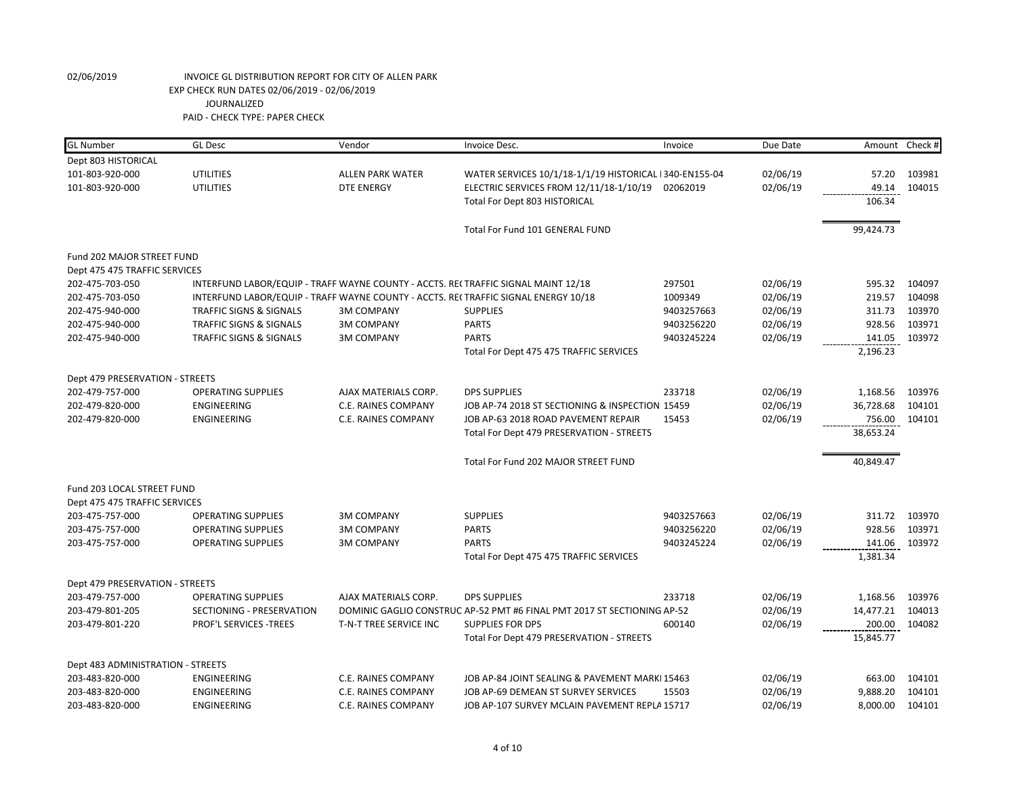| <b>GL</b> Number                  | <b>GL Desc</b>                                                                    | Vendor                  | Invoice Desc.                                                                      | Invoice    | Due Date |           | Amount Check # |
|-----------------------------------|-----------------------------------------------------------------------------------|-------------------------|------------------------------------------------------------------------------------|------------|----------|-----------|----------------|
| Dept 803 HISTORICAL               |                                                                                   |                         |                                                                                    |            |          |           |                |
| 101-803-920-000                   | <b>UTILITIES</b>                                                                  | <b>ALLEN PARK WATER</b> | WATER SERVICES 10/1/18-1/1/19 HISTORICAL 1340-EN155-04                             |            | 02/06/19 | 57.20     | 103981         |
| 101-803-920-000                   | <b>UTILITIES</b>                                                                  | <b>DTE ENERGY</b>       | ELECTRIC SERVICES FROM 12/11/18-1/10/19                                            | 02062019   | 02/06/19 | 49.14     | 104015         |
|                                   |                                                                                   |                         | Total For Dept 803 HISTORICAL                                                      |            |          | 106.34    |                |
|                                   |                                                                                   |                         | Total For Fund 101 GENERAL FUND                                                    |            |          | 99,424.73 |                |
| Fund 202 MAJOR STREET FUND        |                                                                                   |                         |                                                                                    |            |          |           |                |
| Dept 475 475 TRAFFIC SERVICES     |                                                                                   |                         |                                                                                    |            |          |           |                |
| 202-475-703-050                   | INTERFUND LABOR/EQUIP - TRAFF WAYNE COUNTY - ACCTS. RECTRAFFIC SIGNAL MAINT 12/18 |                         |                                                                                    | 297501     | 02/06/19 | 595.32    | 104097         |
| 202-475-703-050                   |                                                                                   |                         | INTERFUND LABOR/EQUIP - TRAFF WAYNE COUNTY - ACCTS. RECTRAFFIC SIGNAL ENERGY 10/18 | 1009349    | 02/06/19 | 219.57    | 104098         |
| 202-475-940-000                   | <b>TRAFFIC SIGNS &amp; SIGNALS</b>                                                | <b>3M COMPANY</b>       | <b>SUPPLIES</b>                                                                    | 9403257663 | 02/06/19 | 311.73    | 103970         |
| 202-475-940-000                   | <b>TRAFFIC SIGNS &amp; SIGNALS</b>                                                | <b>3M COMPANY</b>       | <b>PARTS</b>                                                                       | 9403256220 | 02/06/19 | 928.56    | 103971         |
| 202-475-940-000                   | <b>TRAFFIC SIGNS &amp; SIGNALS</b>                                                | <b>3M COMPANY</b>       | <b>PARTS</b>                                                                       | 9403245224 | 02/06/19 | 141.05    | 103972         |
|                                   |                                                                                   |                         | Total For Dept 475 475 TRAFFIC SERVICES                                            |            |          | 2,196.23  |                |
| Dept 479 PRESERVATION - STREETS   |                                                                                   |                         |                                                                                    |            |          |           |                |
| 202-479-757-000                   | <b>OPERATING SUPPLIES</b>                                                         | AJAX MATERIALS CORP.    | <b>DPS SUPPLIES</b>                                                                | 233718     | 02/06/19 | 1,168.56  | 103976         |
| 202-479-820-000                   | ENGINEERING                                                                       | C.E. RAINES COMPANY     | JOB AP-74 2018 ST SECTIONING & INSPECTION 15459                                    |            | 02/06/19 | 36,728.68 | 104101         |
| 202-479-820-000                   | ENGINEERING                                                                       | C.E. RAINES COMPANY     | JOB AP-63 2018 ROAD PAVEMENT REPAIR                                                | 15453      | 02/06/19 | 756.00    | 104101         |
|                                   |                                                                                   |                         | Total For Dept 479 PRESERVATION - STREETS                                          |            |          | 38,653.24 |                |
|                                   |                                                                                   |                         | Total For Fund 202 MAJOR STREET FUND                                               |            |          | 40,849.47 |                |
| Fund 203 LOCAL STREET FUND        |                                                                                   |                         |                                                                                    |            |          |           |                |
| Dept 475 475 TRAFFIC SERVICES     |                                                                                   |                         |                                                                                    |            |          |           |                |
| 203-475-757-000                   | <b>OPERATING SUPPLIES</b>                                                         | <b>3M COMPANY</b>       | <b>SUPPLIES</b>                                                                    | 9403257663 | 02/06/19 | 311.72    | 103970         |
| 203-475-757-000                   | <b>OPERATING SUPPLIES</b>                                                         | <b>3M COMPANY</b>       | <b>PARTS</b>                                                                       | 9403256220 | 02/06/19 | 928.56    | 103971         |
| 203-475-757-000                   | <b>OPERATING SUPPLIES</b>                                                         | <b>3M COMPANY</b>       | <b>PARTS</b>                                                                       | 9403245224 | 02/06/19 | 141.06    | 103972         |
|                                   |                                                                                   |                         | Total For Dept 475 475 TRAFFIC SERVICES                                            |            |          | 1,381.34  |                |
| Dept 479 PRESERVATION - STREETS   |                                                                                   |                         |                                                                                    |            |          |           |                |
| 203-479-757-000                   | <b>OPERATING SUPPLIES</b>                                                         | AJAX MATERIALS CORP.    | <b>DPS SUPPLIES</b>                                                                | 233718     | 02/06/19 | 1,168.56  | 103976         |
| 203-479-801-205                   | SECTIONING - PRESERVATION                                                         |                         | DOMINIC GAGLIO CONSTRUC AP-52 PMT #6 FINAL PMT 2017 ST SECTIONING AP-52            |            | 02/06/19 | 14,477.21 | 104013         |
| 203-479-801-220                   | <b>PROF'L SERVICES -TREES</b>                                                     | T-N-T TREE SERVICE INC  | <b>SUPPLIES FOR DPS</b>                                                            | 600140     | 02/06/19 | 200.00    | 104082         |
|                                   |                                                                                   |                         | Total For Dept 479 PRESERVATION - STREETS                                          |            |          | 15,845.77 |                |
| Dept 483 ADMINISTRATION - STREETS |                                                                                   |                         |                                                                                    |            |          |           |                |
| 203-483-820-000                   | <b>ENGINEERING</b>                                                                | C.E. RAINES COMPANY     | JOB AP-84 JOINT SEALING & PAVEMENT MARKI 15463                                     |            | 02/06/19 | 663.00    | 104101         |
| 203-483-820-000                   | ENGINEERING                                                                       | C.E. RAINES COMPANY     | JOB AP-69 DEMEAN ST SURVEY SERVICES                                                | 15503      | 02/06/19 | 9,888.20  | 104101         |
| 203-483-820-000                   | ENGINEERING                                                                       | C.E. RAINES COMPANY     | JOB AP-107 SURVEY MCLAIN PAVEMENT REPLA 15717                                      |            | 02/06/19 | 8,000.00  | 104101         |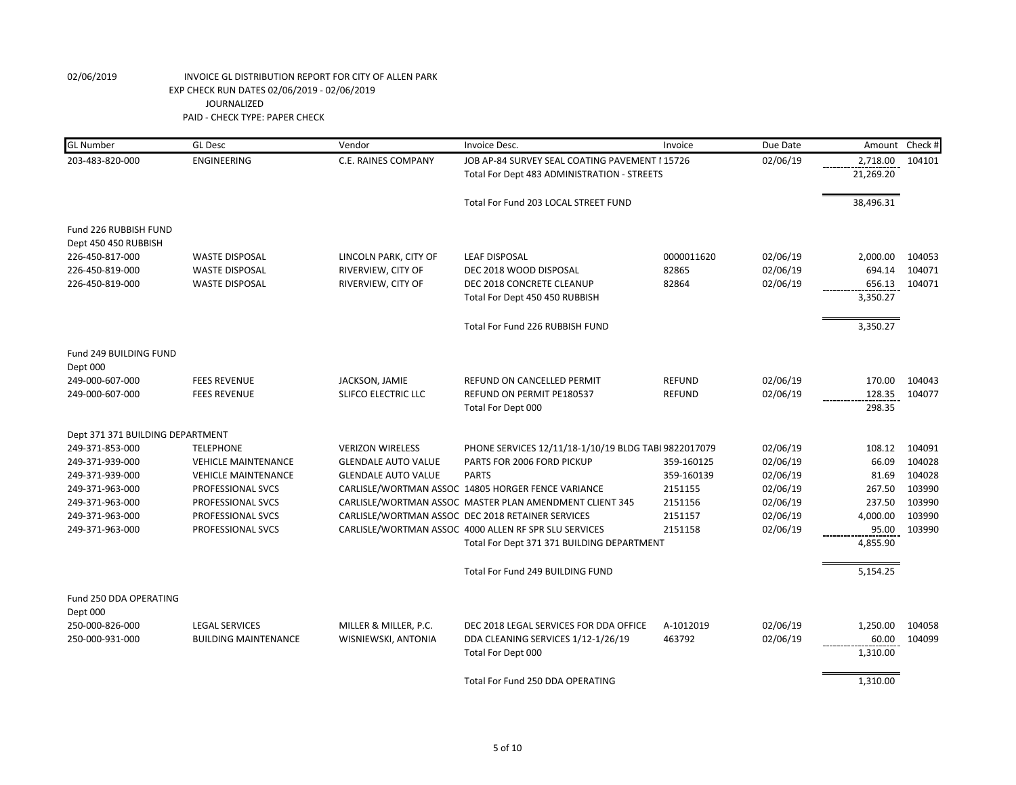| <b>GL Number</b>                 | <b>GL Desc</b>              | Vendor                     | Invoice Desc.                                           | Invoice       | Due Date | Amount    | Check # |
|----------------------------------|-----------------------------|----------------------------|---------------------------------------------------------|---------------|----------|-----------|---------|
| 203-483-820-000                  | ENGINEERING                 | C.E. RAINES COMPANY        | JOB AP-84 SURVEY SEAL COATING PAVEMENT I 15726          |               | 02/06/19 | 2,718.00  | 104101  |
|                                  |                             |                            | Total For Dept 483 ADMINISTRATION - STREETS             |               |          | 21,269.20 |         |
|                                  |                             |                            | Total For Fund 203 LOCAL STREET FUND                    |               |          | 38,496.31 |         |
| Fund 226 RUBBISH FUND            |                             |                            |                                                         |               |          |           |         |
| Dept 450 450 RUBBISH             |                             |                            |                                                         |               |          |           |         |
| 226-450-817-000                  | <b>WASTE DISPOSAL</b>       | LINCOLN PARK, CITY OF      | <b>LEAF DISPOSAL</b>                                    | 0000011620    | 02/06/19 | 2,000.00  | 104053  |
| 226-450-819-000                  | <b>WASTE DISPOSAL</b>       | RIVERVIEW, CITY OF         | DEC 2018 WOOD DISPOSAL                                  | 82865         | 02/06/19 | 694.14    | 104071  |
| 226-450-819-000                  | <b>WASTE DISPOSAL</b>       | RIVERVIEW, CITY OF         | DEC 2018 CONCRETE CLEANUP                               | 82864         | 02/06/19 | 656.13    | 104071  |
|                                  |                             |                            | Total For Dept 450 450 RUBBISH                          |               |          | 3,350.27  |         |
|                                  |                             |                            | Total For Fund 226 RUBBISH FUND                         |               |          | 3,350.27  |         |
| Fund 249 BUILDING FUND           |                             |                            |                                                         |               |          |           |         |
| Dept 000                         |                             |                            |                                                         |               |          |           |         |
| 249-000-607-000                  | <b>FEES REVENUE</b>         | JACKSON, JAMIE             | REFUND ON CANCELLED PERMIT                              | <b>REFUND</b> | 02/06/19 | 170.00    | 104043  |
| 249-000-607-000                  | <b>FEES REVENUE</b>         | SLIFCO ELECTRIC LLC        | REFUND ON PERMIT PE180537                               | <b>REFUND</b> | 02/06/19 | 128.35    | 104077  |
|                                  |                             |                            | Total For Dept 000                                      |               |          | 298.35    |         |
|                                  |                             |                            |                                                         |               |          |           |         |
| Dept 371 371 BUILDING DEPARTMENT |                             |                            |                                                         |               |          |           |         |
| 249-371-853-000                  | <b>TELEPHONE</b>            | <b>VERIZON WIRELESS</b>    | PHONE SERVICES 12/11/18-1/10/19 BLDG TABI 9822017079    |               | 02/06/19 | 108.12    | 104091  |
| 249-371-939-000                  | <b>VEHICLE MAINTENANCE</b>  | <b>GLENDALE AUTO VALUE</b> | PARTS FOR 2006 FORD PICKUP                              | 359-160125    | 02/06/19 | 66.09     | 104028  |
| 249-371-939-000                  | <b>VEHICLE MAINTENANCE</b>  | <b>GLENDALE AUTO VALUE</b> | <b>PARTS</b>                                            | 359-160139    | 02/06/19 | 81.69     | 104028  |
| 249-371-963-000                  | PROFESSIONAL SVCS           |                            | CARLISLE/WORTMAN ASSOC 14805 HORGER FENCE VARIANCE      | 2151155       | 02/06/19 | 267.50    | 103990  |
| 249-371-963-000                  | PROFESSIONAL SVCS           |                            | CARLISLE/WORTMAN ASSOC MASTER PLAN AMENDMENT CLIENT 345 | 2151156       | 02/06/19 | 237.50    | 103990  |
| 249-371-963-000                  | PROFESSIONAL SVCS           |                            | CARLISLE/WORTMAN ASSOC DEC 2018 RETAINER SERVICES       | 2151157       | 02/06/19 | 4,000.00  | 103990  |
| 249-371-963-000                  | PROFESSIONAL SVCS           |                            | CARLISLE/WORTMAN ASSOC 4000 ALLEN RF SPR SLU SERVICES   | 2151158       | 02/06/19 | 95.00     | 103990  |
|                                  |                             |                            | Total For Dept 371 371 BUILDING DEPARTMENT              |               |          | 4,855.90  |         |
|                                  |                             |                            |                                                         |               |          |           |         |
|                                  |                             |                            | Total For Fund 249 BUILDING FUND                        |               |          | 5,154.25  |         |
| Fund 250 DDA OPERATING           |                             |                            |                                                         |               |          |           |         |
| Dept 000                         |                             |                            |                                                         |               |          |           |         |
| 250-000-826-000                  | <b>LEGAL SERVICES</b>       | MILLER & MILLER, P.C.      | DEC 2018 LEGAL SERVICES FOR DDA OFFICE                  | A-1012019     | 02/06/19 | 1,250.00  | 104058  |
| 250-000-931-000                  | <b>BUILDING MAINTENANCE</b> | WISNIEWSKI, ANTONIA        | DDA CLEANING SERVICES 1/12-1/26/19                      | 463792        | 02/06/19 | 60.00     | 104099  |
|                                  |                             |                            | Total For Dept 000                                      |               |          | 1,310.00  |         |
|                                  |                             |                            |                                                         |               |          |           |         |
|                                  |                             |                            | Total For Fund 250 DDA OPERATING                        |               |          | 1,310.00  |         |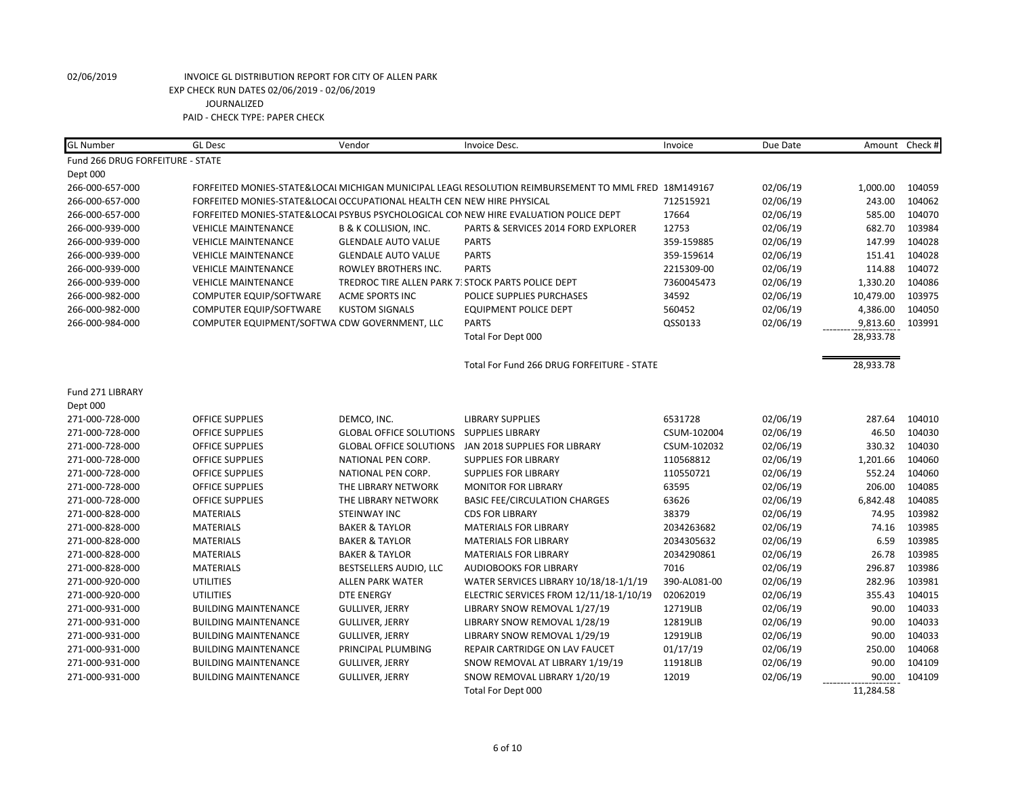| <b>GL Number</b>                 | <b>GL Desc</b>                                                         | Vendor                           | Invoice Desc.                                                                                        | Invoice      | Due Date | Amount Check # |        |
|----------------------------------|------------------------------------------------------------------------|----------------------------------|------------------------------------------------------------------------------------------------------|--------------|----------|----------------|--------|
| Fund 266 DRUG FORFEITURE - STATE |                                                                        |                                  |                                                                                                      |              |          |                |        |
| Dept 000                         |                                                                        |                                  |                                                                                                      |              |          |                |        |
| 266-000-657-000                  |                                                                        |                                  | FORFEITED MONIES-STATE&LOCAI MICHIGAN MUNICIPAL LEAGI RESOLUTION REIMBURSEMENT TO MML FRED 18M149167 |              | 02/06/19 | 1,000.00       | 104059 |
| 266-000-657-000                  | FORFEITED MONIES-STATE&LOCAI OCCUPATIONAL HEALTH CEN NEW HIRE PHYSICAL |                                  |                                                                                                      | 712515921    | 02/06/19 | 243.00         | 104062 |
| 266-000-657-000                  |                                                                        |                                  | FORFEITED MONIES-STATE&LOCAI PSYBUS PSYCHOLOGICAL CONNEW HIRE EVALUATION POLICE DEPT                 | 17664        | 02/06/19 | 585.00         | 104070 |
| 266-000-939-000                  | <b>VEHICLE MAINTENANCE</b>                                             | <b>B &amp; K COLLISION, INC.</b> | PARTS & SERVICES 2014 FORD EXPLORER                                                                  | 12753        | 02/06/19 | 682.70         | 103984 |
| 266-000-939-000                  | <b>VEHICLE MAINTENANCE</b>                                             | <b>GLENDALE AUTO VALUE</b>       | <b>PARTS</b>                                                                                         | 359-159885   | 02/06/19 | 147.99         | 104028 |
| 266-000-939-000                  | <b>VEHICLE MAINTENANCE</b>                                             | <b>GLENDALE AUTO VALUE</b>       | <b>PARTS</b>                                                                                         | 359-159614   | 02/06/19 | 151.41         | 104028 |
| 266-000-939-000                  | <b>VEHICLE MAINTENANCE</b>                                             | ROWLEY BROTHERS INC.             | <b>PARTS</b>                                                                                         | 2215309-00   | 02/06/19 | 114.88         | 104072 |
| 266-000-939-000                  | <b>VEHICLE MAINTENANCE</b>                                             |                                  | TREDROC TIRE ALLEN PARK 7. STOCK PARTS POLICE DEPT                                                   | 7360045473   | 02/06/19 | 1,330.20       | 104086 |
| 266-000-982-000                  | COMPUTER EQUIP/SOFTWARE                                                | <b>ACME SPORTS INC</b>           | POLICE SUPPLIES PURCHASES                                                                            | 34592        | 02/06/19 | 10,479.00      | 103975 |
| 266-000-982-000                  | COMPUTER EQUIP/SOFTWARE                                                | <b>KUSTOM SIGNALS</b>            | <b>EQUIPMENT POLICE DEPT</b>                                                                         | 560452       | 02/06/19 | 4,386.00       | 104050 |
| 266-000-984-000                  | COMPUTER EQUIPMENT/SOFTWA CDW GOVERNMENT, LLC                          |                                  | <b>PARTS</b>                                                                                         | QSS0133      | 02/06/19 | 9,813.60       | 103991 |
|                                  |                                                                        |                                  | Total For Dept 000                                                                                   |              |          | 28,933.78      |        |
|                                  |                                                                        |                                  | Total For Fund 266 DRUG FORFEITURE - STATE                                                           |              |          | 28,933.78      |        |
| Fund 271 LIBRARY                 |                                                                        |                                  |                                                                                                      |              |          |                |        |
| Dept 000                         |                                                                        |                                  |                                                                                                      |              |          |                |        |
| 271-000-728-000                  | <b>OFFICE SUPPLIES</b>                                                 | DEMCO, INC.                      | <b>LIBRARY SUPPLIES</b>                                                                              | 6531728      | 02/06/19 | 287.64         | 104010 |
| 271-000-728-000                  | <b>OFFICE SUPPLIES</b>                                                 | <b>GLOBAL OFFICE SOLUTIONS</b>   | <b>SUPPLIES LIBRARY</b>                                                                              | CSUM-102004  | 02/06/19 | 46.50          | 104030 |
| 271-000-728-000                  | <b>OFFICE SUPPLIES</b>                                                 | <b>GLOBAL OFFICE SOLUTIONS</b>   | JAN 2018 SUPPLIES FOR LIBRARY                                                                        | CSUM-102032  | 02/06/19 | 330.32         | 104030 |
| 271-000-728-000                  | <b>OFFICE SUPPLIES</b>                                                 | NATIONAL PEN CORP.               | <b>SUPPLIES FOR LIBRARY</b>                                                                          | 110568812    | 02/06/19 | 1,201.66       | 104060 |
| 271-000-728-000                  | <b>OFFICE SUPPLIES</b>                                                 | NATIONAL PEN CORP.               | <b>SUPPLIES FOR LIBRARY</b>                                                                          | 110550721    | 02/06/19 | 552.24         | 104060 |
| 271-000-728-000                  | <b>OFFICE SUPPLIES</b>                                                 | THE LIBRARY NETWORK              | <b>MONITOR FOR LIBRARY</b>                                                                           | 63595        | 02/06/19 | 206.00         | 104085 |
| 271-000-728-000                  | <b>OFFICE SUPPLIES</b>                                                 | THE LIBRARY NETWORK              | <b>BASIC FEE/CIRCULATION CHARGES</b>                                                                 | 63626        | 02/06/19 | 6,842.48       | 104085 |
| 271-000-828-000                  | <b>MATERIALS</b>                                                       | <b>STEINWAY INC</b>              | <b>CDS FOR LIBRARY</b>                                                                               | 38379        | 02/06/19 | 74.95          | 103982 |
| 271-000-828-000                  | <b>MATERIALS</b>                                                       | <b>BAKER &amp; TAYLOR</b>        | <b>MATERIALS FOR LIBRARY</b>                                                                         | 2034263682   | 02/06/19 | 74.16          | 103985 |
| 271-000-828-000                  | <b>MATERIALS</b>                                                       | <b>BAKER &amp; TAYLOR</b>        | <b>MATERIALS FOR LIBRARY</b>                                                                         | 2034305632   | 02/06/19 | 6.59           | 103985 |
| 271-000-828-000                  | <b>MATERIALS</b>                                                       | <b>BAKER &amp; TAYLOR</b>        | <b>MATERIALS FOR LIBRARY</b>                                                                         | 2034290861   | 02/06/19 | 26.78          | 103985 |
| 271-000-828-000                  | <b>MATERIALS</b>                                                       | BESTSELLERS AUDIO, LLC           | <b>AUDIOBOOKS FOR LIBRARY</b>                                                                        | 7016         | 02/06/19 | 296.87         | 103986 |
| 271-000-920-000                  | <b>UTILITIES</b>                                                       | <b>ALLEN PARK WATER</b>          | WATER SERVICES LIBRARY 10/18/18-1/1/19                                                               | 390-AL081-00 | 02/06/19 | 282.96         | 103981 |
| 271-000-920-000                  | <b>UTILITIES</b>                                                       | <b>DTE ENERGY</b>                | ELECTRIC SERVICES FROM 12/11/18-1/10/19                                                              | 02062019     | 02/06/19 | 355.43         | 104015 |
| 271-000-931-000                  | <b>BUILDING MAINTENANCE</b>                                            | <b>GULLIVER, JERRY</b>           | LIBRARY SNOW REMOVAL 1/27/19                                                                         | 12719LIB     | 02/06/19 | 90.00          | 104033 |
| 271-000-931-000                  | <b>BUILDING MAINTENANCE</b>                                            | <b>GULLIVER, JERRY</b>           | LIBRARY SNOW REMOVAL 1/28/19                                                                         | 12819LIB     | 02/06/19 | 90.00          | 104033 |
| 271-000-931-000                  | <b>BUILDING MAINTENANCE</b>                                            | <b>GULLIVER, JERRY</b>           | LIBRARY SNOW REMOVAL 1/29/19                                                                         | 12919LIB     | 02/06/19 | 90.00          | 104033 |
| 271-000-931-000                  | <b>BUILDING MAINTENANCE</b>                                            | PRINCIPAL PLUMBING               | REPAIR CARTRIDGE ON LAV FAUCET                                                                       | 01/17/19     | 02/06/19 | 250.00         | 104068 |
| 271-000-931-000                  | <b>BUILDING MAINTENANCE</b>                                            | <b>GULLIVER, JERRY</b>           | SNOW REMOVAL AT LIBRARY 1/19/19                                                                      | 11918LIB     | 02/06/19 | 90.00          | 104109 |
| 271-000-931-000                  | <b>BUILDING MAINTENANCE</b>                                            | <b>GULLIVER, JERRY</b>           | SNOW REMOVAL LIBRARY 1/20/19                                                                         | 12019        | 02/06/19 | 90.00          | 104109 |
|                                  |                                                                        |                                  | Total For Dept 000                                                                                   |              |          | 11,284.58      |        |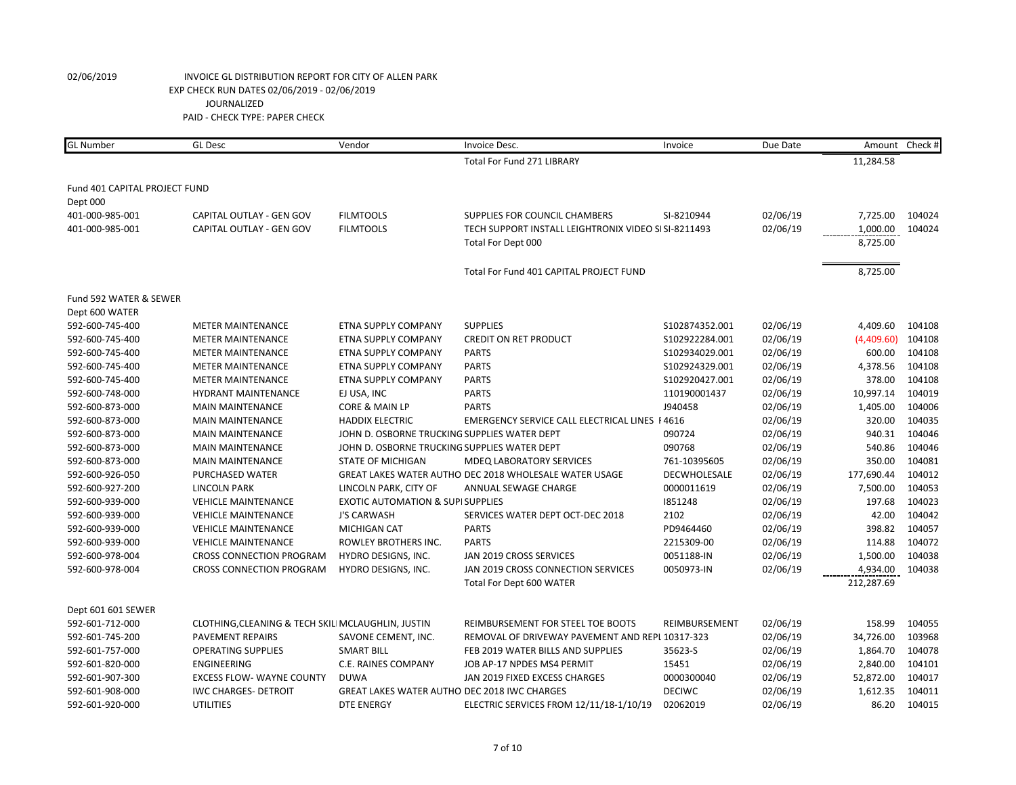| <b>GL</b> Number              | <b>GL</b> Desc                                     | Vendor                                       | Invoice Desc.                                          | Invoice        | Due Date | Amount     | Check# |
|-------------------------------|----------------------------------------------------|----------------------------------------------|--------------------------------------------------------|----------------|----------|------------|--------|
|                               |                                                    |                                              | <b>Total For Fund 271 LIBRARY</b>                      |                |          | 11,284.58  |        |
| Fund 401 CAPITAL PROJECT FUND |                                                    |                                              |                                                        |                |          |            |        |
| Dept 000                      |                                                    |                                              |                                                        |                |          |            |        |
| 401-000-985-001               | CAPITAL OUTLAY - GEN GOV                           | <b>FILMTOOLS</b>                             | SUPPLIES FOR COUNCIL CHAMBERS                          | SI-8210944     | 02/06/19 | 7,725.00   | 104024 |
| 401-000-985-001               | CAPITAL OUTLAY - GEN GOV                           | <b>FILMTOOLS</b>                             | TECH SUPPORT INSTALL LEIGHTRONIX VIDEO SI SI-8211493   |                | 02/06/19 | 1,000.00   | 104024 |
|                               |                                                    |                                              | Total For Dept 000                                     |                |          | 8,725.00   |        |
|                               |                                                    |                                              | Total For Fund 401 CAPITAL PROJECT FUND                |                |          | 8,725.00   |        |
| Fund 592 WATER & SEWER        |                                                    |                                              |                                                        |                |          |            |        |
| Dept 600 WATER                |                                                    |                                              |                                                        |                |          |            |        |
| 592-600-745-400               | <b>METER MAINTENANCE</b>                           | ETNA SUPPLY COMPANY                          | <b>SUPPLIES</b>                                        | S102874352.001 | 02/06/19 | 4,409.60   | 104108 |
| 592-600-745-400               | <b>METER MAINTENANCE</b>                           | ETNA SUPPLY COMPANY                          | <b>CREDIT ON RET PRODUCT</b>                           | S102922284.001 | 02/06/19 | (4,409.60) | 104108 |
| 592-600-745-400               | <b>METER MAINTENANCE</b>                           | ETNA SUPPLY COMPANY                          | <b>PARTS</b>                                           | S102934029.001 | 02/06/19 | 600.00     | 104108 |
| 592-600-745-400               | <b>METER MAINTENANCE</b>                           | ETNA SUPPLY COMPANY                          | <b>PARTS</b>                                           | S102924329.001 | 02/06/19 | 4,378.56   | 104108 |
| 592-600-745-400               | <b>METER MAINTENANCE</b>                           | ETNA SUPPLY COMPANY                          | <b>PARTS</b>                                           | S102920427.001 | 02/06/19 | 378.00     | 104108 |
| 592-600-748-000               | HYDRANT MAINTENANCE                                | EJ USA, INC                                  | <b>PARTS</b>                                           | 110190001437   | 02/06/19 | 10,997.14  | 104019 |
| 592-600-873-000               | <b>MAIN MAINTENANCE</b>                            | CORE & MAIN LP                               | <b>PARTS</b>                                           | J940458        | 02/06/19 | 1,405.00   | 104006 |
| 592-600-873-000               | <b>MAIN MAINTENANCE</b>                            | <b>HADDIX ELECTRIC</b>                       | EMERGENCY SERVICE CALL ELECTRICAL LINES   4616         |                | 02/06/19 | 320.00     | 104035 |
| 592-600-873-000               | <b>MAIN MAINTENANCE</b>                            | JOHN D. OSBORNE TRUCKING SUPPLIES WATER DEPT |                                                        | 090724         | 02/06/19 | 940.31     | 104046 |
| 592-600-873-000               | <b>MAIN MAINTENANCE</b>                            | JOHN D. OSBORNE TRUCKING SUPPLIES WATER DEPT |                                                        | 090768         | 02/06/19 | 540.86     | 104046 |
| 592-600-873-000               | <b>MAIN MAINTENANCE</b>                            | <b>STATE OF MICHIGAN</b>                     | <b>MDEQ LABORATORY SERVICES</b>                        | 761-10395605   | 02/06/19 | 350.00     | 104081 |
| 592-600-926-050               | PURCHASED WATER                                    |                                              | GREAT LAKES WATER AUTHO DEC 2018 WHOLESALE WATER USAGE | DECWHOLESALE   | 02/06/19 | 177,690.44 | 104012 |
| 592-600-927-200               | <b>LINCOLN PARK</b>                                | LINCOLN PARK, CITY OF                        | ANNUAL SEWAGE CHARGE                                   | 0000011619     | 02/06/19 | 7,500.00   | 104053 |
| 592-600-939-000               | <b>VEHICLE MAINTENANCE</b>                         | <b>EXOTIC AUTOMATION &amp; SUPI SUPPLIES</b> |                                                        | 1851248        | 02/06/19 | 197.68     | 104023 |
| 592-600-939-000               | <b>VEHICLE MAINTENANCE</b>                         | <b>J'S CARWASH</b>                           | SERVICES WATER DEPT OCT-DEC 2018                       | 2102           | 02/06/19 | 42.00      | 104042 |
| 592-600-939-000               | <b>VEHICLE MAINTENANCE</b>                         | MICHIGAN CAT                                 | <b>PARTS</b>                                           | PD9464460      | 02/06/19 | 398.82     | 104057 |
| 592-600-939-000               | <b>VEHICLE MAINTENANCE</b>                         | ROWLEY BROTHERS INC.                         | <b>PARTS</b>                                           | 2215309-00     | 02/06/19 | 114.88     | 104072 |
| 592-600-978-004               | <b>CROSS CONNECTION PROGRAM</b>                    | HYDRO DESIGNS, INC.                          | JAN 2019 CROSS SERVICES                                | 0051188-IN     | 02/06/19 | 1,500.00   | 104038 |
| 592-600-978-004               | <b>CROSS CONNECTION PROGRAM</b>                    | HYDRO DESIGNS, INC.                          | JAN 2019 CROSS CONNECTION SERVICES                     | 0050973-IN     | 02/06/19 | 4,934.00   | 104038 |
|                               |                                                    |                                              | Total For Dept 600 WATER                               |                |          | 212,287.69 |        |
| Dept 601 601 SEWER            |                                                    |                                              |                                                        |                |          |            |        |
| 592-601-712-000               | CLOTHING, CLEANING & TECH SKILI MCLAUGHLIN, JUSTIN |                                              | REIMBURSEMENT FOR STEEL TOE BOOTS                      | REIMBURSEMENT  | 02/06/19 | 158.99     | 104055 |
| 592-601-745-200               | <b>PAVEMENT REPAIRS</b>                            | SAVONE CEMENT, INC.                          | REMOVAL OF DRIVEWAY PAVEMENT AND REPL 10317-323        |                | 02/06/19 | 34,726.00  | 103968 |
| 592-601-757-000               | <b>OPERATING SUPPLIES</b>                          | <b>SMART BILL</b>                            | FEB 2019 WATER BILLS AND SUPPLIES                      | 35623-S        | 02/06/19 | 1,864.70   | 104078 |
| 592-601-820-000               | <b>ENGINEERING</b>                                 | C.E. RAINES COMPANY                          | JOB AP-17 NPDES MS4 PERMIT                             | 15451          | 02/06/19 | 2,840.00   | 104101 |
| 592-601-907-300               | <b>EXCESS FLOW- WAYNE COUNTY</b>                   | <b>DUWA</b>                                  | JAN 2019 FIXED EXCESS CHARGES                          | 0000300040     | 02/06/19 | 52,872.00  | 104017 |
| 592-601-908-000               | <b>IWC CHARGES- DETROIT</b>                        | GREAT LAKES WATER AUTHO DEC 2018 IWC CHARGES |                                                        | <b>DECIWC</b>  | 02/06/19 | 1,612.35   | 104011 |
| 592-601-920-000               | <b>UTILITIES</b>                                   | DTE ENERGY                                   | ELECTRIC SERVICES FROM 12/11/18-1/10/19                | 02062019       | 02/06/19 | 86.20      | 104015 |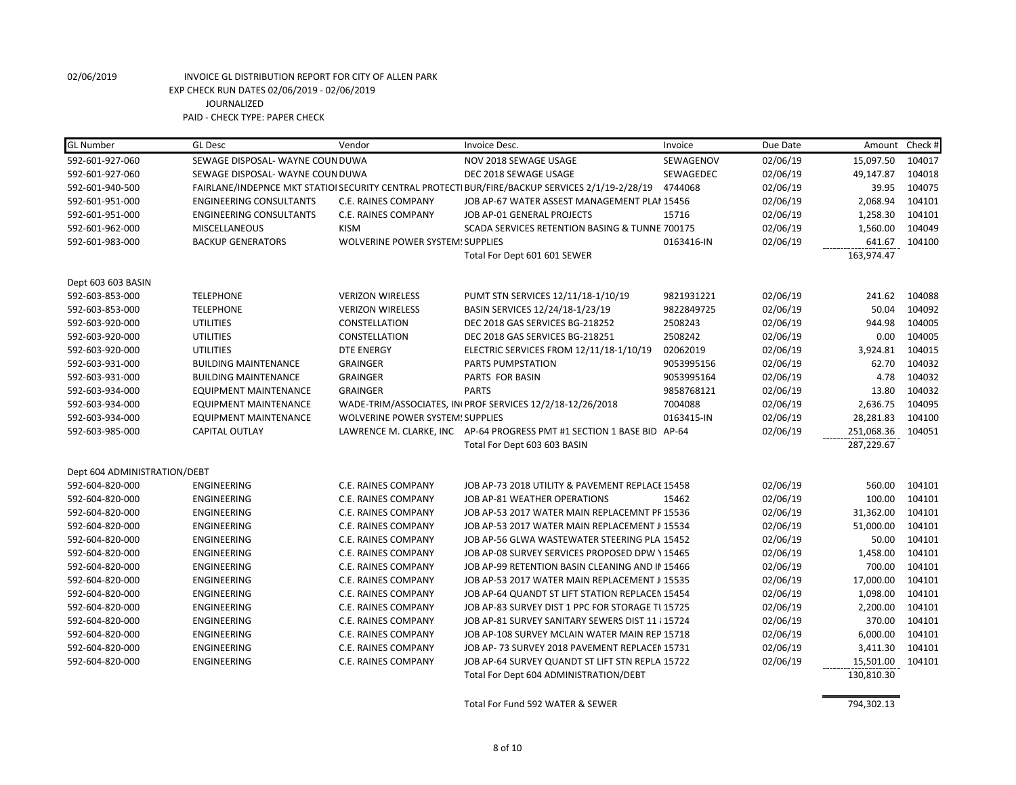| <b>GL Number</b>             | <b>GL Desc</b>                   | Vendor                                  | Invoice Desc.                                                                                   | Invoice    | Due Date | Amount Check # |        |
|------------------------------|----------------------------------|-----------------------------------------|-------------------------------------------------------------------------------------------------|------------|----------|----------------|--------|
| 592-601-927-060              | SEWAGE DISPOSAL- WAYNE COUN DUWA |                                         | NOV 2018 SEWAGE USAGE                                                                           | SEWAGENOV  | 02/06/19 | 15,097.50      | 104017 |
| 592-601-927-060              | SEWAGE DISPOSAL- WAYNE COUN DUWA |                                         | DEC 2018 SEWAGE USAGE                                                                           | SEWAGEDEC  | 02/06/19 | 49,147.87      | 104018 |
| 592-601-940-500              |                                  |                                         | FAIRLANE/INDEPNCE MKT STATIOI SECURITY CENTRAL PROTECTI BUR/FIRE/BACKUP SERVICES 2/1/19-2/28/19 | 4744068    | 02/06/19 | 39.95          | 104075 |
| 592-601-951-000              | <b>ENGINEERING CONSULTANTS</b>   | C.E. RAINES COMPANY                     | JOB AP-67 WATER ASSEST MANAGEMENT PLAI 15456                                                    |            | 02/06/19 | 2,068.94       | 104101 |
| 592-601-951-000              | <b>ENGINEERING CONSULTANTS</b>   | <b>C.E. RAINES COMPANY</b>              | JOB AP-01 GENERAL PROJECTS                                                                      | 15716      | 02/06/19 | 1,258.30       | 104101 |
| 592-601-962-000              | <b>MISCELLANEOUS</b>             | <b>KISM</b>                             | SCADA SERVICES RETENTION BASING & TUNNE 700175                                                  |            | 02/06/19 | 1,560.00       | 104049 |
| 592-601-983-000              | <b>BACKUP GENERATORS</b>         | <b>WOLVERINE POWER SYSTEM: SUPPLIES</b> |                                                                                                 | 0163416-IN | 02/06/19 | 641.67         | 104100 |
|                              |                                  |                                         | Total For Dept 601 601 SEWER                                                                    |            |          | 163,974.47     |        |
| Dept 603 603 BASIN           |                                  |                                         |                                                                                                 |            |          |                |        |
| 592-603-853-000              | <b>TELEPHONE</b>                 | <b>VERIZON WIRELESS</b>                 | PUMT STN SERVICES 12/11/18-1/10/19                                                              | 9821931221 | 02/06/19 | 241.62         | 104088 |
| 592-603-853-000              | <b>TELEPHONE</b>                 | <b>VERIZON WIRELESS</b>                 | BASIN SERVICES 12/24/18-1/23/19                                                                 | 9822849725 | 02/06/19 | 50.04          | 104092 |
| 592-603-920-000              | <b>UTILITIES</b>                 | CONSTELLATION                           | DEC 2018 GAS SERVICES BG-218252                                                                 | 2508243    | 02/06/19 | 944.98         | 104005 |
| 592-603-920-000              | <b>UTILITIES</b>                 | <b>CONSTELLATION</b>                    | DEC 2018 GAS SERVICES BG-218251                                                                 | 2508242    | 02/06/19 | 0.00           | 104005 |
| 592-603-920-000              | <b>UTILITIES</b>                 | <b>DTE ENERGY</b>                       | ELECTRIC SERVICES FROM 12/11/18-1/10/19                                                         | 02062019   | 02/06/19 | 3,924.81       | 104015 |
| 592-603-931-000              | <b>BUILDING MAINTENANCE</b>      | <b>GRAINGER</b>                         | PARTS PUMPSTATION                                                                               | 9053995156 | 02/06/19 | 62.70          | 104032 |
| 592-603-931-000              | <b>BUILDING MAINTENANCE</b>      | <b>GRAINGER</b>                         | PARTS FOR BASIN                                                                                 | 9053995164 | 02/06/19 | 4.78           | 104032 |
| 592-603-934-000              | <b>EQUIPMENT MAINTENANCE</b>     | <b>GRAINGER</b>                         | <b>PARTS</b>                                                                                    | 9858768121 | 02/06/19 | 13.80          | 104032 |
| 592-603-934-000              | <b>EQUIPMENT MAINTENANCE</b>     |                                         | WADE-TRIM/ASSOCIATES, IN PROF SERVICES 12/2/18-12/26/2018                                       | 7004088    | 02/06/19 | 2,636.75       | 104095 |
| 592-603-934-000              | <b>EQUIPMENT MAINTENANCE</b>     | <b>WOLVERINE POWER SYSTEM: SUPPLIES</b> |                                                                                                 | 0163415-IN | 02/06/19 | 28,281.83      | 104100 |
| 592-603-985-000              | <b>CAPITAL OUTLAY</b>            |                                         | LAWRENCE M. CLARKE, INC AP-64 PROGRESS PMT #1 SECTION 1 BASE BID AP-64                          |            | 02/06/19 | 251,068.36     | 104051 |
|                              |                                  |                                         | Total For Dept 603 603 BASIN                                                                    |            |          | 287,229.67     |        |
| Dept 604 ADMINISTRATION/DEBT |                                  |                                         |                                                                                                 |            |          |                |        |
| 592-604-820-000              | ENGINEERING                      | C.E. RAINES COMPANY                     | JOB AP-73 2018 UTILITY & PAVEMENT REPLACE 15458                                                 |            | 02/06/19 | 560.00         | 104101 |
| 592-604-820-000              | <b>ENGINEERING</b>               | <b>C.E. RAINES COMPANY</b>              | JOB AP-81 WEATHER OPERATIONS                                                                    | 15462      | 02/06/19 | 100.00         | 104101 |
| 592-604-820-000              | ENGINEERING                      | C.E. RAINES COMPANY                     | JOB AP-53 2017 WATER MAIN REPLACEMNT PF 15536                                                   |            | 02/06/19 | 31,362.00      | 104101 |
| 592-604-820-000              | <b>ENGINEERING</b>               | <b>C.E. RAINES COMPANY</b>              | JOB AP-53 2017 WATER MAIN REPLACEMENT J 15534                                                   |            | 02/06/19 | 51,000.00      | 104101 |
| 592-604-820-000              | ENGINEERING                      | C.E. RAINES COMPANY                     | JOB AP-56 GLWA WASTEWATER STEERING PLA 15452                                                    |            | 02/06/19 | 50.00          | 104101 |
| 592-604-820-000              | ENGINEERING                      | C.E. RAINES COMPANY                     | JOB AP-08 SURVEY SERVICES PROPOSED DPW \15465                                                   |            | 02/06/19 | 1,458.00       | 104101 |
| 592-604-820-000              | <b>ENGINEERING</b>               | <b>C.E. RAINES COMPANY</b>              | JOB AP-99 RETENTION BASIN CLEANING AND IN 15466                                                 |            | 02/06/19 | 700.00         | 104101 |
| 592-604-820-000              | <b>ENGINEERING</b>               | C.E. RAINES COMPANY                     | JOB AP-53 2017 WATER MAIN REPLACEMENT J 15535                                                   |            | 02/06/19 | 17,000.00      | 104101 |
| 592-604-820-000              | <b>ENGINEERING</b>               | C.E. RAINES COMPANY                     | JOB AP-64 QUANDT ST LIFT STATION REPLACEN 15454                                                 |            | 02/06/19 | 1,098.00       | 104101 |
| 592-604-820-000              | ENGINEERING                      | C.E. RAINES COMPANY                     | JOB AP-83 SURVEY DIST 1 PPC FOR STORAGE TI 15725                                                |            | 02/06/19 | 2,200.00       | 104101 |
| 592-604-820-000              | <b>ENGINEERING</b>               | <b>C.E. RAINES COMPANY</b>              | JOB AP-81 SURVEY SANITARY SEWERS DIST 11 / 15724                                                |            | 02/06/19 | 370.00         | 104101 |
| 592-604-820-000              | ENGINEERING                      | C.E. RAINES COMPANY                     | JOB AP-108 SURVEY MCLAIN WATER MAIN REP 15718                                                   |            | 02/06/19 | 6,000.00       | 104101 |
| 592-604-820-000              | ENGINEERING                      | C.E. RAINES COMPANY                     | JOB AP- 73 SURVEY 2018 PAVEMENT REPLACEN 15731                                                  |            | 02/06/19 | 3,411.30       | 104101 |
| 592-604-820-000              | ENGINEERING                      | C.E. RAINES COMPANY                     | JOB AP-64 SURVEY QUANDT ST LIFT STN REPLA 15722                                                 |            | 02/06/19 | 15,501.00      | 104101 |
|                              |                                  |                                         | Total For Dept 604 ADMINISTRATION/DEBT                                                          |            |          | 130,810.30     |        |

Total For Fund 592 WATER & SEWER 794,302.13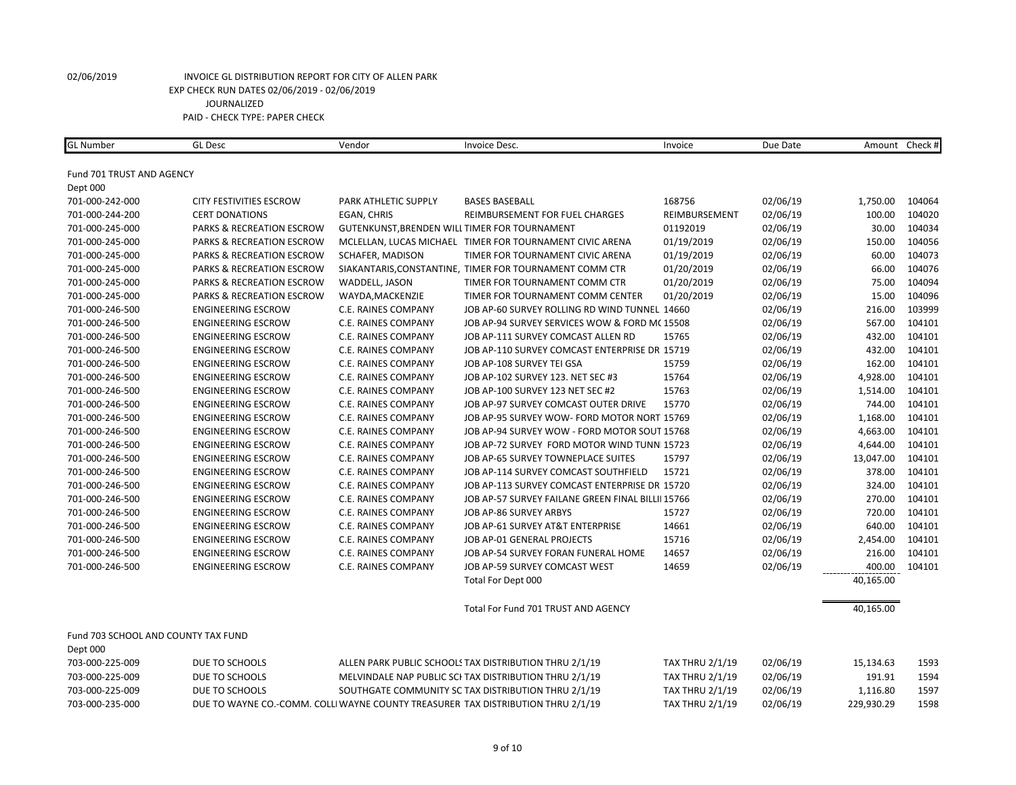| Fund 701 TRUST AND AGENCY<br>Dept 000<br>701-000-242-000<br>168756<br>02/06/19<br>1,750.00<br>104064<br><b>CITY FESTIVITIES ESCROW</b><br>PARK ATHLETIC SUPPLY<br><b>BASES BASEBALL</b><br>02/06/19<br>100.00<br>104020<br>701-000-244-200<br><b>CERT DONATIONS</b><br>EGAN, CHRIS<br>REIMBURSEMENT FOR FUEL CHARGES<br>REIMBURSEMENT<br>104034<br>GUTENKUNST, BRENDEN WILL TIMER FOR TOURNAMENT<br>01192019<br>02/06/19<br>30.00<br>701-000-245-000<br><b>PARKS &amp; RECREATION ESCROW</b><br>150.00<br>104056<br>PARKS & RECREATION ESCROW<br>MCLELLAN, LUCAS MICHAEL TIMER FOR TOURNAMENT CIVIC ARENA<br>01/19/2019<br>02/06/19<br>701-000-245-000<br>60.00<br>104073<br>701-000-245-000<br><b>PARKS &amp; RECREATION ESCROW</b><br>SCHAFER, MADISON<br>TIMER FOR TOURNAMENT CIVIC ARENA<br>01/19/2019<br>02/06/19<br>104076<br>701-000-245-000<br><b>PARKS &amp; RECREATION ESCROW</b><br>01/20/2019<br>02/06/19<br>66.00<br>SIAKANTARIS, CONSTANTINE, TIMER FOR TOURNAMENT COMM CTR<br>104094<br>01/20/2019<br>02/06/19<br>75.00<br>701-000-245-000<br><b>PARKS &amp; RECREATION ESCROW</b><br>WADDELL, JASON<br>TIMER FOR TOURNAMENT COMM CTR<br>15.00<br>104096<br>701-000-245-000<br><b>PARKS &amp; RECREATION ESCROW</b><br>WAYDA, MACKENZIE<br>01/20/2019<br>02/06/19<br>TIMER FOR TOURNAMENT COMM CENTER<br>103999<br>02/06/19<br>216.00<br>701-000-246-500<br><b>ENGINEERING ESCROW</b><br>C.E. RAINES COMPANY<br>JOB AP-60 SURVEY ROLLING RD WIND TUNNEL 14660<br>02/06/19<br>567.00<br>104101<br>701-000-246-500<br><b>ENGINEERING ESCROW</b><br>C.E. RAINES COMPANY<br>JOB AP-94 SURVEY SERVICES WOW & FORD MC 15508<br>104101<br>15765<br>02/06/19<br>432.00<br>701-000-246-500<br><b>ENGINEERING ESCROW</b><br>C.E. RAINES COMPANY<br>JOB AP-111 SURVEY COMCAST ALLEN RD<br>104101<br>02/06/19<br>432.00<br>701-000-246-500<br><b>ENGINEERING ESCROW</b><br>C.E. RAINES COMPANY<br>JOB AP-110 SURVEY COMCAST ENTERPRISE DR 15719<br>104101<br>701-000-246-500<br><b>ENGINEERING ESCROW</b><br>C.E. RAINES COMPANY<br>JOB AP-108 SURVEY TEI GSA<br>15759<br>02/06/19<br>162.00<br>4,928.00<br>104101<br>701-000-246-500<br><b>ENGINEERING ESCROW</b><br>C.E. RAINES COMPANY<br>JOB AP-102 SURVEY 123. NET SEC #3<br>15764<br>02/06/19<br>15763<br>02/06/19<br>1,514.00<br>104101<br>701-000-246-500<br><b>ENGINEERING ESCROW</b><br>C.E. RAINES COMPANY<br>JOB AP-100 SURVEY 123 NET SEC #2<br>02/06/19<br>744.00<br>104101<br>701-000-246-500<br><b>ENGINEERING ESCROW</b><br>C.E. RAINES COMPANY<br>JOB AP-97 SURVEY COMCAST OUTER DRIVE<br>15770<br>104101<br>701-000-246-500<br><b>ENGINEERING ESCROW</b><br>C.E. RAINES COMPANY<br>JOB AP-95 SURVEY WOW- FORD MOTOR NORT 15769<br>02/06/19<br>1,168.00<br>4,663.00<br>104101<br>701-000-246-500<br><b>ENGINEERING ESCROW</b><br>C.E. RAINES COMPANY<br>JOB AP-94 SURVEY WOW - FORD MOTOR SOUT 15768<br>02/06/19<br>4,644.00<br>104101<br>701-000-246-500<br><b>ENGINEERING ESCROW</b><br>C.E. RAINES COMPANY<br>JOB AP-72 SURVEY FORD MOTOR WIND TUNN 15723<br>02/06/19<br>02/06/19<br>13,047.00<br>104101<br>701-000-246-500<br><b>ENGINEERING ESCROW</b><br>C.E. RAINES COMPANY<br>JOB AP-65 SURVEY TOWNEPLACE SUITES<br>15797<br>378.00<br>104101<br>701-000-246-500<br><b>ENGINEERING ESCROW</b><br>C.E. RAINES COMPANY<br>JOB AP-114 SURVEY COMCAST SOUTHFIELD<br>15721<br>02/06/19<br>104101<br>701-000-246-500<br><b>ENGINEERING ESCROW</b><br>JOB AP-113 SURVEY COMCAST ENTERPRISE DR 15720<br>02/06/19<br>324.00<br>C.E. RAINES COMPANY<br>270.00<br>104101<br>701-000-246-500<br><b>ENGINEERING ESCROW</b><br>JOB AP-57 SURVEY FAILANE GREEN FINAL BILLII 15766<br>02/06/19<br>C.E. RAINES COMPANY<br>720.00<br>701-000-246-500<br><b>ENGINEERING ESCROW</b><br>C.E. RAINES COMPANY<br>JOB AP-86 SURVEY ARBYS<br>15727<br>02/06/19<br>104101<br>02/06/19<br>640.00<br>104101<br><b>ENGINEERING ESCROW</b><br>JOB AP-61 SURVEY AT&T ENTERPRISE<br>14661<br>701-000-246-500<br>C.E. RAINES COMPANY<br>JOB AP-01 GENERAL PROJECTS<br>15716<br>02/06/19<br>2,454.00<br>104101<br>701-000-246-500<br><b>ENGINEERING ESCROW</b><br>C.E. RAINES COMPANY<br>14657<br>216.00<br>104101<br><b>ENGINEERING ESCROW</b><br>C.E. RAINES COMPANY<br>JOB AP-54 SURVEY FORAN FUNERAL HOME<br>02/06/19<br>701-000-246-500<br><b>ENGINEERING ESCROW</b><br>C.E. RAINES COMPANY<br>JOB AP-59 SURVEY COMCAST WEST<br>14659<br>02/06/19<br>400.00<br>104101<br>701-000-246-500<br>Total For Dept 000<br>40,165.00<br>Total For Fund 701 TRUST AND AGENCY<br>40,165.00<br>Fund 703 SCHOOL AND COUNTY TAX FUND<br>Dept 000<br>703-000-225-009<br>DUE TO SCHOOLS<br>ALLEN PARK PUBLIC SCHOOLS TAX DISTRIBUTION THRU 2/1/19<br><b>TAX THRU 2/1/19</b><br>02/06/19<br>1593<br>15,134.63<br>DUE TO SCHOOLS<br>MELVINDALE NAP PUBLIC SCI TAX DISTRIBUTION THRU 2/1/19<br>02/06/19<br>191.91<br>1594<br>703-000-225-009<br><b>TAX THRU 2/1/19</b><br>SOUTHGATE COMMUNITY SC TAX DISTRIBUTION THRU 2/1/19<br>703-000-225-009<br>DUE TO SCHOOLS<br><b>TAX THRU 2/1/19</b><br>02/06/19<br>1,116.80<br>1597<br>703-000-235-000<br>DUE TO WAYNE CO.-COMM. COLLI WAYNE COUNTY TREASURER TAX DISTRIBUTION THRU 2/1/19<br><b>TAX THRU 2/1/19</b><br>02/06/19<br>229,930.29<br>1598 | <b>GL Number</b> | <b>GL Desc</b> | Vendor | Invoice Desc. | Invoice | Due Date | Amount Check # |  |
|------------------------------------------------------------------------------------------------------------------------------------------------------------------------------------------------------------------------------------------------------------------------------------------------------------------------------------------------------------------------------------------------------------------------------------------------------------------------------------------------------------------------------------------------------------------------------------------------------------------------------------------------------------------------------------------------------------------------------------------------------------------------------------------------------------------------------------------------------------------------------------------------------------------------------------------------------------------------------------------------------------------------------------------------------------------------------------------------------------------------------------------------------------------------------------------------------------------------------------------------------------------------------------------------------------------------------------------------------------------------------------------------------------------------------------------------------------------------------------------------------------------------------------------------------------------------------------------------------------------------------------------------------------------------------------------------------------------------------------------------------------------------------------------------------------------------------------------------------------------------------------------------------------------------------------------------------------------------------------------------------------------------------------------------------------------------------------------------------------------------------------------------------------------------------------------------------------------------------------------------------------------------------------------------------------------------------------------------------------------------------------------------------------------------------------------------------------------------------------------------------------------------------------------------------------------------------------------------------------------------------------------------------------------------------------------------------------------------------------------------------------------------------------------------------------------------------------------------------------------------------------------------------------------------------------------------------------------------------------------------------------------------------------------------------------------------------------------------------------------------------------------------------------------------------------------------------------------------------------------------------------------------------------------------------------------------------------------------------------------------------------------------------------------------------------------------------------------------------------------------------------------------------------------------------------------------------------------------------------------------------------------------------------------------------------------------------------------------------------------------------------------------------------------------------------------------------------------------------------------------------------------------------------------------------------------------------------------------------------------------------------------------------------------------------------------------------------------------------------------------------------------------------------------------------------------------------------------------------------------------------------------------------------------------------------------------------------------------------------------------------------------------------------------------------------------------------------------------------------------------------------------------------------------------------------------------------------------------------------------------------------------------------------------------------------------------------------------------------------------------------------------------------------------------------------------------------------------------------------------------------------------------------------------------------------------------------------------------------------------------------------------------------------------------------------------------------------------------------------------------------------------------------------------------------------------------------------------------------|------------------|----------------|--------|---------------|---------|----------|----------------|--|
|                                                                                                                                                                                                                                                                                                                                                                                                                                                                                                                                                                                                                                                                                                                                                                                                                                                                                                                                                                                                                                                                                                                                                                                                                                                                                                                                                                                                                                                                                                                                                                                                                                                                                                                                                                                                                                                                                                                                                                                                                                                                                                                                                                                                                                                                                                                                                                                                                                                                                                                                                                                                                                                                                                                                                                                                                                                                                                                                                                                                                                                                                                                                                                                                                                                                                                                                                                                                                                                                                                                                                                                                                                                                                                                                                                                                                                                                                                                                                                                                                                                                                                                                                                                                                                                                                                                                                                                                                                                                                                                                                                                                                                                                                                                                                                                                                                                                                                                                                                                                                                                                                                                                                                                                                              |                  |                |        |               |         |          |                |  |
|                                                                                                                                                                                                                                                                                                                                                                                                                                                                                                                                                                                                                                                                                                                                                                                                                                                                                                                                                                                                                                                                                                                                                                                                                                                                                                                                                                                                                                                                                                                                                                                                                                                                                                                                                                                                                                                                                                                                                                                                                                                                                                                                                                                                                                                                                                                                                                                                                                                                                                                                                                                                                                                                                                                                                                                                                                                                                                                                                                                                                                                                                                                                                                                                                                                                                                                                                                                                                                                                                                                                                                                                                                                                                                                                                                                                                                                                                                                                                                                                                                                                                                                                                                                                                                                                                                                                                                                                                                                                                                                                                                                                                                                                                                                                                                                                                                                                                                                                                                                                                                                                                                                                                                                                                              |                  |                |        |               |         |          |                |  |
|                                                                                                                                                                                                                                                                                                                                                                                                                                                                                                                                                                                                                                                                                                                                                                                                                                                                                                                                                                                                                                                                                                                                                                                                                                                                                                                                                                                                                                                                                                                                                                                                                                                                                                                                                                                                                                                                                                                                                                                                                                                                                                                                                                                                                                                                                                                                                                                                                                                                                                                                                                                                                                                                                                                                                                                                                                                                                                                                                                                                                                                                                                                                                                                                                                                                                                                                                                                                                                                                                                                                                                                                                                                                                                                                                                                                                                                                                                                                                                                                                                                                                                                                                                                                                                                                                                                                                                                                                                                                                                                                                                                                                                                                                                                                                                                                                                                                                                                                                                                                                                                                                                                                                                                                                              |                  |                |        |               |         |          |                |  |
|                                                                                                                                                                                                                                                                                                                                                                                                                                                                                                                                                                                                                                                                                                                                                                                                                                                                                                                                                                                                                                                                                                                                                                                                                                                                                                                                                                                                                                                                                                                                                                                                                                                                                                                                                                                                                                                                                                                                                                                                                                                                                                                                                                                                                                                                                                                                                                                                                                                                                                                                                                                                                                                                                                                                                                                                                                                                                                                                                                                                                                                                                                                                                                                                                                                                                                                                                                                                                                                                                                                                                                                                                                                                                                                                                                                                                                                                                                                                                                                                                                                                                                                                                                                                                                                                                                                                                                                                                                                                                                                                                                                                                                                                                                                                                                                                                                                                                                                                                                                                                                                                                                                                                                                                                              |                  |                |        |               |         |          |                |  |
|                                                                                                                                                                                                                                                                                                                                                                                                                                                                                                                                                                                                                                                                                                                                                                                                                                                                                                                                                                                                                                                                                                                                                                                                                                                                                                                                                                                                                                                                                                                                                                                                                                                                                                                                                                                                                                                                                                                                                                                                                                                                                                                                                                                                                                                                                                                                                                                                                                                                                                                                                                                                                                                                                                                                                                                                                                                                                                                                                                                                                                                                                                                                                                                                                                                                                                                                                                                                                                                                                                                                                                                                                                                                                                                                                                                                                                                                                                                                                                                                                                                                                                                                                                                                                                                                                                                                                                                                                                                                                                                                                                                                                                                                                                                                                                                                                                                                                                                                                                                                                                                                                                                                                                                                                              |                  |                |        |               |         |          |                |  |
|                                                                                                                                                                                                                                                                                                                                                                                                                                                                                                                                                                                                                                                                                                                                                                                                                                                                                                                                                                                                                                                                                                                                                                                                                                                                                                                                                                                                                                                                                                                                                                                                                                                                                                                                                                                                                                                                                                                                                                                                                                                                                                                                                                                                                                                                                                                                                                                                                                                                                                                                                                                                                                                                                                                                                                                                                                                                                                                                                                                                                                                                                                                                                                                                                                                                                                                                                                                                                                                                                                                                                                                                                                                                                                                                                                                                                                                                                                                                                                                                                                                                                                                                                                                                                                                                                                                                                                                                                                                                                                                                                                                                                                                                                                                                                                                                                                                                                                                                                                                                                                                                                                                                                                                                                              |                  |                |        |               |         |          |                |  |
|                                                                                                                                                                                                                                                                                                                                                                                                                                                                                                                                                                                                                                                                                                                                                                                                                                                                                                                                                                                                                                                                                                                                                                                                                                                                                                                                                                                                                                                                                                                                                                                                                                                                                                                                                                                                                                                                                                                                                                                                                                                                                                                                                                                                                                                                                                                                                                                                                                                                                                                                                                                                                                                                                                                                                                                                                                                                                                                                                                                                                                                                                                                                                                                                                                                                                                                                                                                                                                                                                                                                                                                                                                                                                                                                                                                                                                                                                                                                                                                                                                                                                                                                                                                                                                                                                                                                                                                                                                                                                                                                                                                                                                                                                                                                                                                                                                                                                                                                                                                                                                                                                                                                                                                                                              |                  |                |        |               |         |          |                |  |
|                                                                                                                                                                                                                                                                                                                                                                                                                                                                                                                                                                                                                                                                                                                                                                                                                                                                                                                                                                                                                                                                                                                                                                                                                                                                                                                                                                                                                                                                                                                                                                                                                                                                                                                                                                                                                                                                                                                                                                                                                                                                                                                                                                                                                                                                                                                                                                                                                                                                                                                                                                                                                                                                                                                                                                                                                                                                                                                                                                                                                                                                                                                                                                                                                                                                                                                                                                                                                                                                                                                                                                                                                                                                                                                                                                                                                                                                                                                                                                                                                                                                                                                                                                                                                                                                                                                                                                                                                                                                                                                                                                                                                                                                                                                                                                                                                                                                                                                                                                                                                                                                                                                                                                                                                              |                  |                |        |               |         |          |                |  |
|                                                                                                                                                                                                                                                                                                                                                                                                                                                                                                                                                                                                                                                                                                                                                                                                                                                                                                                                                                                                                                                                                                                                                                                                                                                                                                                                                                                                                                                                                                                                                                                                                                                                                                                                                                                                                                                                                                                                                                                                                                                                                                                                                                                                                                                                                                                                                                                                                                                                                                                                                                                                                                                                                                                                                                                                                                                                                                                                                                                                                                                                                                                                                                                                                                                                                                                                                                                                                                                                                                                                                                                                                                                                                                                                                                                                                                                                                                                                                                                                                                                                                                                                                                                                                                                                                                                                                                                                                                                                                                                                                                                                                                                                                                                                                                                                                                                                                                                                                                                                                                                                                                                                                                                                                              |                  |                |        |               |         |          |                |  |
|                                                                                                                                                                                                                                                                                                                                                                                                                                                                                                                                                                                                                                                                                                                                                                                                                                                                                                                                                                                                                                                                                                                                                                                                                                                                                                                                                                                                                                                                                                                                                                                                                                                                                                                                                                                                                                                                                                                                                                                                                                                                                                                                                                                                                                                                                                                                                                                                                                                                                                                                                                                                                                                                                                                                                                                                                                                                                                                                                                                                                                                                                                                                                                                                                                                                                                                                                                                                                                                                                                                                                                                                                                                                                                                                                                                                                                                                                                                                                                                                                                                                                                                                                                                                                                                                                                                                                                                                                                                                                                                                                                                                                                                                                                                                                                                                                                                                                                                                                                                                                                                                                                                                                                                                                              |                  |                |        |               |         |          |                |  |
|                                                                                                                                                                                                                                                                                                                                                                                                                                                                                                                                                                                                                                                                                                                                                                                                                                                                                                                                                                                                                                                                                                                                                                                                                                                                                                                                                                                                                                                                                                                                                                                                                                                                                                                                                                                                                                                                                                                                                                                                                                                                                                                                                                                                                                                                                                                                                                                                                                                                                                                                                                                                                                                                                                                                                                                                                                                                                                                                                                                                                                                                                                                                                                                                                                                                                                                                                                                                                                                                                                                                                                                                                                                                                                                                                                                                                                                                                                                                                                                                                                                                                                                                                                                                                                                                                                                                                                                                                                                                                                                                                                                                                                                                                                                                                                                                                                                                                                                                                                                                                                                                                                                                                                                                                              |                  |                |        |               |         |          |                |  |
|                                                                                                                                                                                                                                                                                                                                                                                                                                                                                                                                                                                                                                                                                                                                                                                                                                                                                                                                                                                                                                                                                                                                                                                                                                                                                                                                                                                                                                                                                                                                                                                                                                                                                                                                                                                                                                                                                                                                                                                                                                                                                                                                                                                                                                                                                                                                                                                                                                                                                                                                                                                                                                                                                                                                                                                                                                                                                                                                                                                                                                                                                                                                                                                                                                                                                                                                                                                                                                                                                                                                                                                                                                                                                                                                                                                                                                                                                                                                                                                                                                                                                                                                                                                                                                                                                                                                                                                                                                                                                                                                                                                                                                                                                                                                                                                                                                                                                                                                                                                                                                                                                                                                                                                                                              |                  |                |        |               |         |          |                |  |
|                                                                                                                                                                                                                                                                                                                                                                                                                                                                                                                                                                                                                                                                                                                                                                                                                                                                                                                                                                                                                                                                                                                                                                                                                                                                                                                                                                                                                                                                                                                                                                                                                                                                                                                                                                                                                                                                                                                                                                                                                                                                                                                                                                                                                                                                                                                                                                                                                                                                                                                                                                                                                                                                                                                                                                                                                                                                                                                                                                                                                                                                                                                                                                                                                                                                                                                                                                                                                                                                                                                                                                                                                                                                                                                                                                                                                                                                                                                                                                                                                                                                                                                                                                                                                                                                                                                                                                                                                                                                                                                                                                                                                                                                                                                                                                                                                                                                                                                                                                                                                                                                                                                                                                                                                              |                  |                |        |               |         |          |                |  |
|                                                                                                                                                                                                                                                                                                                                                                                                                                                                                                                                                                                                                                                                                                                                                                                                                                                                                                                                                                                                                                                                                                                                                                                                                                                                                                                                                                                                                                                                                                                                                                                                                                                                                                                                                                                                                                                                                                                                                                                                                                                                                                                                                                                                                                                                                                                                                                                                                                                                                                                                                                                                                                                                                                                                                                                                                                                                                                                                                                                                                                                                                                                                                                                                                                                                                                                                                                                                                                                                                                                                                                                                                                                                                                                                                                                                                                                                                                                                                                                                                                                                                                                                                                                                                                                                                                                                                                                                                                                                                                                                                                                                                                                                                                                                                                                                                                                                                                                                                                                                                                                                                                                                                                                                                              |                  |                |        |               |         |          |                |  |
|                                                                                                                                                                                                                                                                                                                                                                                                                                                                                                                                                                                                                                                                                                                                                                                                                                                                                                                                                                                                                                                                                                                                                                                                                                                                                                                                                                                                                                                                                                                                                                                                                                                                                                                                                                                                                                                                                                                                                                                                                                                                                                                                                                                                                                                                                                                                                                                                                                                                                                                                                                                                                                                                                                                                                                                                                                                                                                                                                                                                                                                                                                                                                                                                                                                                                                                                                                                                                                                                                                                                                                                                                                                                                                                                                                                                                                                                                                                                                                                                                                                                                                                                                                                                                                                                                                                                                                                                                                                                                                                                                                                                                                                                                                                                                                                                                                                                                                                                                                                                                                                                                                                                                                                                                              |                  |                |        |               |         |          |                |  |
|                                                                                                                                                                                                                                                                                                                                                                                                                                                                                                                                                                                                                                                                                                                                                                                                                                                                                                                                                                                                                                                                                                                                                                                                                                                                                                                                                                                                                                                                                                                                                                                                                                                                                                                                                                                                                                                                                                                                                                                                                                                                                                                                                                                                                                                                                                                                                                                                                                                                                                                                                                                                                                                                                                                                                                                                                                                                                                                                                                                                                                                                                                                                                                                                                                                                                                                                                                                                                                                                                                                                                                                                                                                                                                                                                                                                                                                                                                                                                                                                                                                                                                                                                                                                                                                                                                                                                                                                                                                                                                                                                                                                                                                                                                                                                                                                                                                                                                                                                                                                                                                                                                                                                                                                                              |                  |                |        |               |         |          |                |  |
|                                                                                                                                                                                                                                                                                                                                                                                                                                                                                                                                                                                                                                                                                                                                                                                                                                                                                                                                                                                                                                                                                                                                                                                                                                                                                                                                                                                                                                                                                                                                                                                                                                                                                                                                                                                                                                                                                                                                                                                                                                                                                                                                                                                                                                                                                                                                                                                                                                                                                                                                                                                                                                                                                                                                                                                                                                                                                                                                                                                                                                                                                                                                                                                                                                                                                                                                                                                                                                                                                                                                                                                                                                                                                                                                                                                                                                                                                                                                                                                                                                                                                                                                                                                                                                                                                                                                                                                                                                                                                                                                                                                                                                                                                                                                                                                                                                                                                                                                                                                                                                                                                                                                                                                                                              |                  |                |        |               |         |          |                |  |
|                                                                                                                                                                                                                                                                                                                                                                                                                                                                                                                                                                                                                                                                                                                                                                                                                                                                                                                                                                                                                                                                                                                                                                                                                                                                                                                                                                                                                                                                                                                                                                                                                                                                                                                                                                                                                                                                                                                                                                                                                                                                                                                                                                                                                                                                                                                                                                                                                                                                                                                                                                                                                                                                                                                                                                                                                                                                                                                                                                                                                                                                                                                                                                                                                                                                                                                                                                                                                                                                                                                                                                                                                                                                                                                                                                                                                                                                                                                                                                                                                                                                                                                                                                                                                                                                                                                                                                                                                                                                                                                                                                                                                                                                                                                                                                                                                                                                                                                                                                                                                                                                                                                                                                                                                              |                  |                |        |               |         |          |                |  |
|                                                                                                                                                                                                                                                                                                                                                                                                                                                                                                                                                                                                                                                                                                                                                                                                                                                                                                                                                                                                                                                                                                                                                                                                                                                                                                                                                                                                                                                                                                                                                                                                                                                                                                                                                                                                                                                                                                                                                                                                                                                                                                                                                                                                                                                                                                                                                                                                                                                                                                                                                                                                                                                                                                                                                                                                                                                                                                                                                                                                                                                                                                                                                                                                                                                                                                                                                                                                                                                                                                                                                                                                                                                                                                                                                                                                                                                                                                                                                                                                                                                                                                                                                                                                                                                                                                                                                                                                                                                                                                                                                                                                                                                                                                                                                                                                                                                                                                                                                                                                                                                                                                                                                                                                                              |                  |                |        |               |         |          |                |  |
|                                                                                                                                                                                                                                                                                                                                                                                                                                                                                                                                                                                                                                                                                                                                                                                                                                                                                                                                                                                                                                                                                                                                                                                                                                                                                                                                                                                                                                                                                                                                                                                                                                                                                                                                                                                                                                                                                                                                                                                                                                                                                                                                                                                                                                                                                                                                                                                                                                                                                                                                                                                                                                                                                                                                                                                                                                                                                                                                                                                                                                                                                                                                                                                                                                                                                                                                                                                                                                                                                                                                                                                                                                                                                                                                                                                                                                                                                                                                                                                                                                                                                                                                                                                                                                                                                                                                                                                                                                                                                                                                                                                                                                                                                                                                                                                                                                                                                                                                                                                                                                                                                                                                                                                                                              |                  |                |        |               |         |          |                |  |
|                                                                                                                                                                                                                                                                                                                                                                                                                                                                                                                                                                                                                                                                                                                                                                                                                                                                                                                                                                                                                                                                                                                                                                                                                                                                                                                                                                                                                                                                                                                                                                                                                                                                                                                                                                                                                                                                                                                                                                                                                                                                                                                                                                                                                                                                                                                                                                                                                                                                                                                                                                                                                                                                                                                                                                                                                                                                                                                                                                                                                                                                                                                                                                                                                                                                                                                                                                                                                                                                                                                                                                                                                                                                                                                                                                                                                                                                                                                                                                                                                                                                                                                                                                                                                                                                                                                                                                                                                                                                                                                                                                                                                                                                                                                                                                                                                                                                                                                                                                                                                                                                                                                                                                                                                              |                  |                |        |               |         |          |                |  |
|                                                                                                                                                                                                                                                                                                                                                                                                                                                                                                                                                                                                                                                                                                                                                                                                                                                                                                                                                                                                                                                                                                                                                                                                                                                                                                                                                                                                                                                                                                                                                                                                                                                                                                                                                                                                                                                                                                                                                                                                                                                                                                                                                                                                                                                                                                                                                                                                                                                                                                                                                                                                                                                                                                                                                                                                                                                                                                                                                                                                                                                                                                                                                                                                                                                                                                                                                                                                                                                                                                                                                                                                                                                                                                                                                                                                                                                                                                                                                                                                                                                                                                                                                                                                                                                                                                                                                                                                                                                                                                                                                                                                                                                                                                                                                                                                                                                                                                                                                                                                                                                                                                                                                                                                                              |                  |                |        |               |         |          |                |  |
|                                                                                                                                                                                                                                                                                                                                                                                                                                                                                                                                                                                                                                                                                                                                                                                                                                                                                                                                                                                                                                                                                                                                                                                                                                                                                                                                                                                                                                                                                                                                                                                                                                                                                                                                                                                                                                                                                                                                                                                                                                                                                                                                                                                                                                                                                                                                                                                                                                                                                                                                                                                                                                                                                                                                                                                                                                                                                                                                                                                                                                                                                                                                                                                                                                                                                                                                                                                                                                                                                                                                                                                                                                                                                                                                                                                                                                                                                                                                                                                                                                                                                                                                                                                                                                                                                                                                                                                                                                                                                                                                                                                                                                                                                                                                                                                                                                                                                                                                                                                                                                                                                                                                                                                                                              |                  |                |        |               |         |          |                |  |
|                                                                                                                                                                                                                                                                                                                                                                                                                                                                                                                                                                                                                                                                                                                                                                                                                                                                                                                                                                                                                                                                                                                                                                                                                                                                                                                                                                                                                                                                                                                                                                                                                                                                                                                                                                                                                                                                                                                                                                                                                                                                                                                                                                                                                                                                                                                                                                                                                                                                                                                                                                                                                                                                                                                                                                                                                                                                                                                                                                                                                                                                                                                                                                                                                                                                                                                                                                                                                                                                                                                                                                                                                                                                                                                                                                                                                                                                                                                                                                                                                                                                                                                                                                                                                                                                                                                                                                                                                                                                                                                                                                                                                                                                                                                                                                                                                                                                                                                                                                                                                                                                                                                                                                                                                              |                  |                |        |               |         |          |                |  |
|                                                                                                                                                                                                                                                                                                                                                                                                                                                                                                                                                                                                                                                                                                                                                                                                                                                                                                                                                                                                                                                                                                                                                                                                                                                                                                                                                                                                                                                                                                                                                                                                                                                                                                                                                                                                                                                                                                                                                                                                                                                                                                                                                                                                                                                                                                                                                                                                                                                                                                                                                                                                                                                                                                                                                                                                                                                                                                                                                                                                                                                                                                                                                                                                                                                                                                                                                                                                                                                                                                                                                                                                                                                                                                                                                                                                                                                                                                                                                                                                                                                                                                                                                                                                                                                                                                                                                                                                                                                                                                                                                                                                                                                                                                                                                                                                                                                                                                                                                                                                                                                                                                                                                                                                                              |                  |                |        |               |         |          |                |  |
|                                                                                                                                                                                                                                                                                                                                                                                                                                                                                                                                                                                                                                                                                                                                                                                                                                                                                                                                                                                                                                                                                                                                                                                                                                                                                                                                                                                                                                                                                                                                                                                                                                                                                                                                                                                                                                                                                                                                                                                                                                                                                                                                                                                                                                                                                                                                                                                                                                                                                                                                                                                                                                                                                                                                                                                                                                                                                                                                                                                                                                                                                                                                                                                                                                                                                                                                                                                                                                                                                                                                                                                                                                                                                                                                                                                                                                                                                                                                                                                                                                                                                                                                                                                                                                                                                                                                                                                                                                                                                                                                                                                                                                                                                                                                                                                                                                                                                                                                                                                                                                                                                                                                                                                                                              |                  |                |        |               |         |          |                |  |
|                                                                                                                                                                                                                                                                                                                                                                                                                                                                                                                                                                                                                                                                                                                                                                                                                                                                                                                                                                                                                                                                                                                                                                                                                                                                                                                                                                                                                                                                                                                                                                                                                                                                                                                                                                                                                                                                                                                                                                                                                                                                                                                                                                                                                                                                                                                                                                                                                                                                                                                                                                                                                                                                                                                                                                                                                                                                                                                                                                                                                                                                                                                                                                                                                                                                                                                                                                                                                                                                                                                                                                                                                                                                                                                                                                                                                                                                                                                                                                                                                                                                                                                                                                                                                                                                                                                                                                                                                                                                                                                                                                                                                                                                                                                                                                                                                                                                                                                                                                                                                                                                                                                                                                                                                              |                  |                |        |               |         |          |                |  |
|                                                                                                                                                                                                                                                                                                                                                                                                                                                                                                                                                                                                                                                                                                                                                                                                                                                                                                                                                                                                                                                                                                                                                                                                                                                                                                                                                                                                                                                                                                                                                                                                                                                                                                                                                                                                                                                                                                                                                                                                                                                                                                                                                                                                                                                                                                                                                                                                                                                                                                                                                                                                                                                                                                                                                                                                                                                                                                                                                                                                                                                                                                                                                                                                                                                                                                                                                                                                                                                                                                                                                                                                                                                                                                                                                                                                                                                                                                                                                                                                                                                                                                                                                                                                                                                                                                                                                                                                                                                                                                                                                                                                                                                                                                                                                                                                                                                                                                                                                                                                                                                                                                                                                                                                                              |                  |                |        |               |         |          |                |  |
|                                                                                                                                                                                                                                                                                                                                                                                                                                                                                                                                                                                                                                                                                                                                                                                                                                                                                                                                                                                                                                                                                                                                                                                                                                                                                                                                                                                                                                                                                                                                                                                                                                                                                                                                                                                                                                                                                                                                                                                                                                                                                                                                                                                                                                                                                                                                                                                                                                                                                                                                                                                                                                                                                                                                                                                                                                                                                                                                                                                                                                                                                                                                                                                                                                                                                                                                                                                                                                                                                                                                                                                                                                                                                                                                                                                                                                                                                                                                                                                                                                                                                                                                                                                                                                                                                                                                                                                                                                                                                                                                                                                                                                                                                                                                                                                                                                                                                                                                                                                                                                                                                                                                                                                                                              |                  |                |        |               |         |          |                |  |
|                                                                                                                                                                                                                                                                                                                                                                                                                                                                                                                                                                                                                                                                                                                                                                                                                                                                                                                                                                                                                                                                                                                                                                                                                                                                                                                                                                                                                                                                                                                                                                                                                                                                                                                                                                                                                                                                                                                                                                                                                                                                                                                                                                                                                                                                                                                                                                                                                                                                                                                                                                                                                                                                                                                                                                                                                                                                                                                                                                                                                                                                                                                                                                                                                                                                                                                                                                                                                                                                                                                                                                                                                                                                                                                                                                                                                                                                                                                                                                                                                                                                                                                                                                                                                                                                                                                                                                                                                                                                                                                                                                                                                                                                                                                                                                                                                                                                                                                                                                                                                                                                                                                                                                                                                              |                  |                |        |               |         |          |                |  |
|                                                                                                                                                                                                                                                                                                                                                                                                                                                                                                                                                                                                                                                                                                                                                                                                                                                                                                                                                                                                                                                                                                                                                                                                                                                                                                                                                                                                                                                                                                                                                                                                                                                                                                                                                                                                                                                                                                                                                                                                                                                                                                                                                                                                                                                                                                                                                                                                                                                                                                                                                                                                                                                                                                                                                                                                                                                                                                                                                                                                                                                                                                                                                                                                                                                                                                                                                                                                                                                                                                                                                                                                                                                                                                                                                                                                                                                                                                                                                                                                                                                                                                                                                                                                                                                                                                                                                                                                                                                                                                                                                                                                                                                                                                                                                                                                                                                                                                                                                                                                                                                                                                                                                                                                                              |                  |                |        |               |         |          |                |  |
|                                                                                                                                                                                                                                                                                                                                                                                                                                                                                                                                                                                                                                                                                                                                                                                                                                                                                                                                                                                                                                                                                                                                                                                                                                                                                                                                                                                                                                                                                                                                                                                                                                                                                                                                                                                                                                                                                                                                                                                                                                                                                                                                                                                                                                                                                                                                                                                                                                                                                                                                                                                                                                                                                                                                                                                                                                                                                                                                                                                                                                                                                                                                                                                                                                                                                                                                                                                                                                                                                                                                                                                                                                                                                                                                                                                                                                                                                                                                                                                                                                                                                                                                                                                                                                                                                                                                                                                                                                                                                                                                                                                                                                                                                                                                                                                                                                                                                                                                                                                                                                                                                                                                                                                                                              |                  |                |        |               |         |          |                |  |
|                                                                                                                                                                                                                                                                                                                                                                                                                                                                                                                                                                                                                                                                                                                                                                                                                                                                                                                                                                                                                                                                                                                                                                                                                                                                                                                                                                                                                                                                                                                                                                                                                                                                                                                                                                                                                                                                                                                                                                                                                                                                                                                                                                                                                                                                                                                                                                                                                                                                                                                                                                                                                                                                                                                                                                                                                                                                                                                                                                                                                                                                                                                                                                                                                                                                                                                                                                                                                                                                                                                                                                                                                                                                                                                                                                                                                                                                                                                                                                                                                                                                                                                                                                                                                                                                                                                                                                                                                                                                                                                                                                                                                                                                                                                                                                                                                                                                                                                                                                                                                                                                                                                                                                                                                              |                  |                |        |               |         |          |                |  |
|                                                                                                                                                                                                                                                                                                                                                                                                                                                                                                                                                                                                                                                                                                                                                                                                                                                                                                                                                                                                                                                                                                                                                                                                                                                                                                                                                                                                                                                                                                                                                                                                                                                                                                                                                                                                                                                                                                                                                                                                                                                                                                                                                                                                                                                                                                                                                                                                                                                                                                                                                                                                                                                                                                                                                                                                                                                                                                                                                                                                                                                                                                                                                                                                                                                                                                                                                                                                                                                                                                                                                                                                                                                                                                                                                                                                                                                                                                                                                                                                                                                                                                                                                                                                                                                                                                                                                                                                                                                                                                                                                                                                                                                                                                                                                                                                                                                                                                                                                                                                                                                                                                                                                                                                                              |                  |                |        |               |         |          |                |  |
|                                                                                                                                                                                                                                                                                                                                                                                                                                                                                                                                                                                                                                                                                                                                                                                                                                                                                                                                                                                                                                                                                                                                                                                                                                                                                                                                                                                                                                                                                                                                                                                                                                                                                                                                                                                                                                                                                                                                                                                                                                                                                                                                                                                                                                                                                                                                                                                                                                                                                                                                                                                                                                                                                                                                                                                                                                                                                                                                                                                                                                                                                                                                                                                                                                                                                                                                                                                                                                                                                                                                                                                                                                                                                                                                                                                                                                                                                                                                                                                                                                                                                                                                                                                                                                                                                                                                                                                                                                                                                                                                                                                                                                                                                                                                                                                                                                                                                                                                                                                                                                                                                                                                                                                                                              |                  |                |        |               |         |          |                |  |
|                                                                                                                                                                                                                                                                                                                                                                                                                                                                                                                                                                                                                                                                                                                                                                                                                                                                                                                                                                                                                                                                                                                                                                                                                                                                                                                                                                                                                                                                                                                                                                                                                                                                                                                                                                                                                                                                                                                                                                                                                                                                                                                                                                                                                                                                                                                                                                                                                                                                                                                                                                                                                                                                                                                                                                                                                                                                                                                                                                                                                                                                                                                                                                                                                                                                                                                                                                                                                                                                                                                                                                                                                                                                                                                                                                                                                                                                                                                                                                                                                                                                                                                                                                                                                                                                                                                                                                                                                                                                                                                                                                                                                                                                                                                                                                                                                                                                                                                                                                                                                                                                                                                                                                                                                              |                  |                |        |               |         |          |                |  |
|                                                                                                                                                                                                                                                                                                                                                                                                                                                                                                                                                                                                                                                                                                                                                                                                                                                                                                                                                                                                                                                                                                                                                                                                                                                                                                                                                                                                                                                                                                                                                                                                                                                                                                                                                                                                                                                                                                                                                                                                                                                                                                                                                                                                                                                                                                                                                                                                                                                                                                                                                                                                                                                                                                                                                                                                                                                                                                                                                                                                                                                                                                                                                                                                                                                                                                                                                                                                                                                                                                                                                                                                                                                                                                                                                                                                                                                                                                                                                                                                                                                                                                                                                                                                                                                                                                                                                                                                                                                                                                                                                                                                                                                                                                                                                                                                                                                                                                                                                                                                                                                                                                                                                                                                                              |                  |                |        |               |         |          |                |  |
|                                                                                                                                                                                                                                                                                                                                                                                                                                                                                                                                                                                                                                                                                                                                                                                                                                                                                                                                                                                                                                                                                                                                                                                                                                                                                                                                                                                                                                                                                                                                                                                                                                                                                                                                                                                                                                                                                                                                                                                                                                                                                                                                                                                                                                                                                                                                                                                                                                                                                                                                                                                                                                                                                                                                                                                                                                                                                                                                                                                                                                                                                                                                                                                                                                                                                                                                                                                                                                                                                                                                                                                                                                                                                                                                                                                                                                                                                                                                                                                                                                                                                                                                                                                                                                                                                                                                                                                                                                                                                                                                                                                                                                                                                                                                                                                                                                                                                                                                                                                                                                                                                                                                                                                                                              |                  |                |        |               |         |          |                |  |
|                                                                                                                                                                                                                                                                                                                                                                                                                                                                                                                                                                                                                                                                                                                                                                                                                                                                                                                                                                                                                                                                                                                                                                                                                                                                                                                                                                                                                                                                                                                                                                                                                                                                                                                                                                                                                                                                                                                                                                                                                                                                                                                                                                                                                                                                                                                                                                                                                                                                                                                                                                                                                                                                                                                                                                                                                                                                                                                                                                                                                                                                                                                                                                                                                                                                                                                                                                                                                                                                                                                                                                                                                                                                                                                                                                                                                                                                                                                                                                                                                                                                                                                                                                                                                                                                                                                                                                                                                                                                                                                                                                                                                                                                                                                                                                                                                                                                                                                                                                                                                                                                                                                                                                                                                              |                  |                |        |               |         |          |                |  |